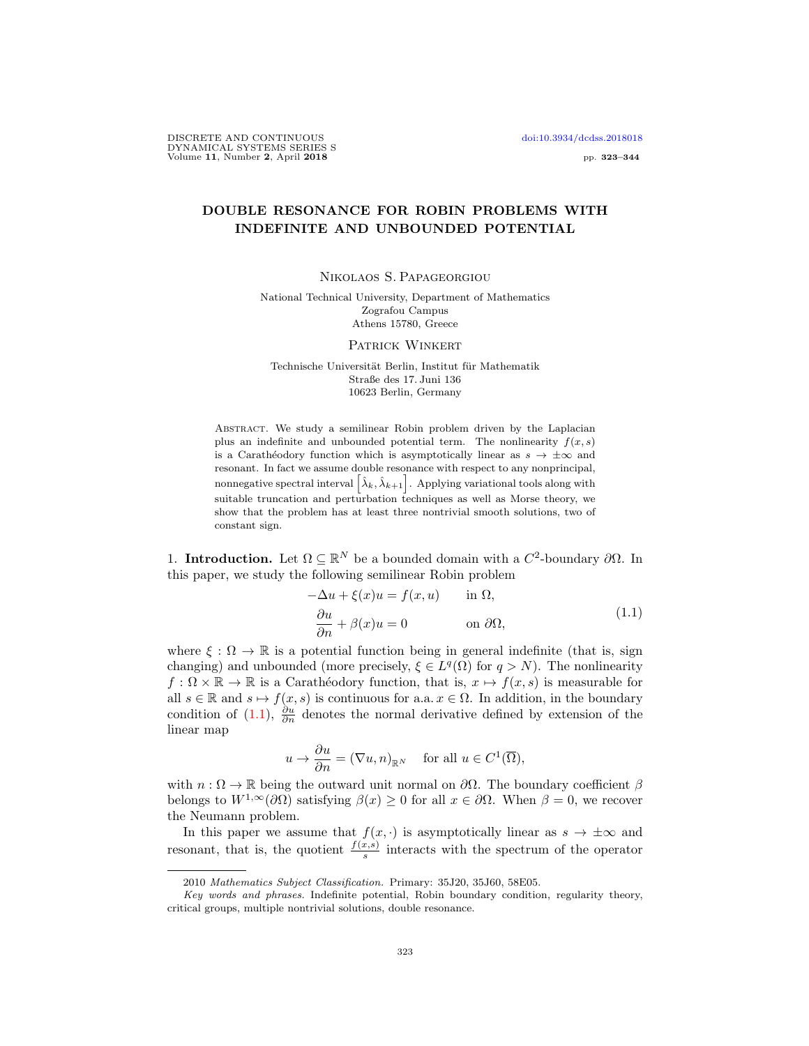DISCRETE AND CONTINUOUS [doi:10.3934/dcdss.2018018](http://dx.doi.org/10.3934/dcdss.2018018) DYNAMICAL SYSTEMS SERIES S Volume 11, Number 2, April 2018 **pp. 323–344** 

## DOUBLE RESONANCE FOR ROBIN PROBLEMS WITH INDEFINITE AND UNBOUNDED POTENTIAL

Nikolaos S. Papageorgiou

National Technical University, Department of Mathematics Zografou Campus Athens 15780, Greece

Patrick Winkert

Technische Universität Berlin, Institut für Mathematik Straße des 17. Juni 136 10623 Berlin, Germany

Abstract. We study a semilinear Robin problem driven by the Laplacian plus an indefinite and unbounded potential term. The nonlinearity  $f(x, s)$ is a Carathéodory function which is asymptotically linear as  $s \to \pm \infty$  and resonant. In fact we assume double resonance with respect to any nonprincipal, nonnegative spectral interval  $\left[\hat{\lambda}_k,\hat{\lambda}_{k+1}\right]$ . Applying variational tools along with suitable truncation and perturbation techniques as well as Morse theory, we show that the problem has at least three nontrivial smooth solutions, two of constant sign.

1. **Introduction.** Let  $\Omega \subseteq \mathbb{R}^N$  be a bounded domain with a  $C^2$ -boundary  $\partial \Omega$ . In this paper, we study the following semilinear Robin problem

<span id="page-0-0"></span>
$$
-\Delta u + \xi(x)u = f(x, u) \quad \text{in } \Omega,
$$
  

$$
\frac{\partial u}{\partial n} + \beta(x)u = 0 \quad \text{on } \partial\Omega,
$$
 (1.1)

where  $\xi : \Omega \to \mathbb{R}$  is a potential function being in general indefinite (that is, sign changing) and unbounded (more precisely,  $\xi \in L^q(\Omega)$  for  $q > N$ ). The nonlinearity  $f: \Omega \times \mathbb{R} \to \mathbb{R}$  is a Carathéodory function, that is,  $x \mapsto f(x, s)$  is measurable for all  $s \in \mathbb{R}$  and  $s \mapsto f(x, s)$  is continuous for a.a.  $x \in \Omega$ . In addition, in the boundary condition of [\(1.1\)](#page-0-0),  $\frac{\partial u}{\partial n}$  denotes the normal derivative defined by extension of the linear map

$$
u \to \frac{\partial u}{\partial n} = (\nabla u, n)_{\mathbb{R}^N}
$$
 for all  $u \in C^1(\overline{\Omega}),$ 

with  $n : \Omega \to \mathbb{R}$  being the outward unit normal on  $\partial \Omega$ . The boundary coefficient  $\beta$ belongs to  $W^{1,\infty}(\partial\Omega)$  satisfying  $\beta(x) \geq 0$  for all  $x \in \partial\Omega$ . When  $\beta = 0$ , we recover the Neumann problem.

In this paper we assume that  $f(x, \cdot)$  is asymptotically linear as  $s \to \pm \infty$  and resonant, that is, the quotient  $\frac{f(x,s)}{s}$  interacts with the spectrum of the operator

<sup>2010</sup> Mathematics Subject Classification. Primary: 35J20, 35J60, 58E05.

Key words and phrases. Indefinite potential, Robin boundary condition, regularity theory, critical groups, multiple nontrivial solutions, double resonance.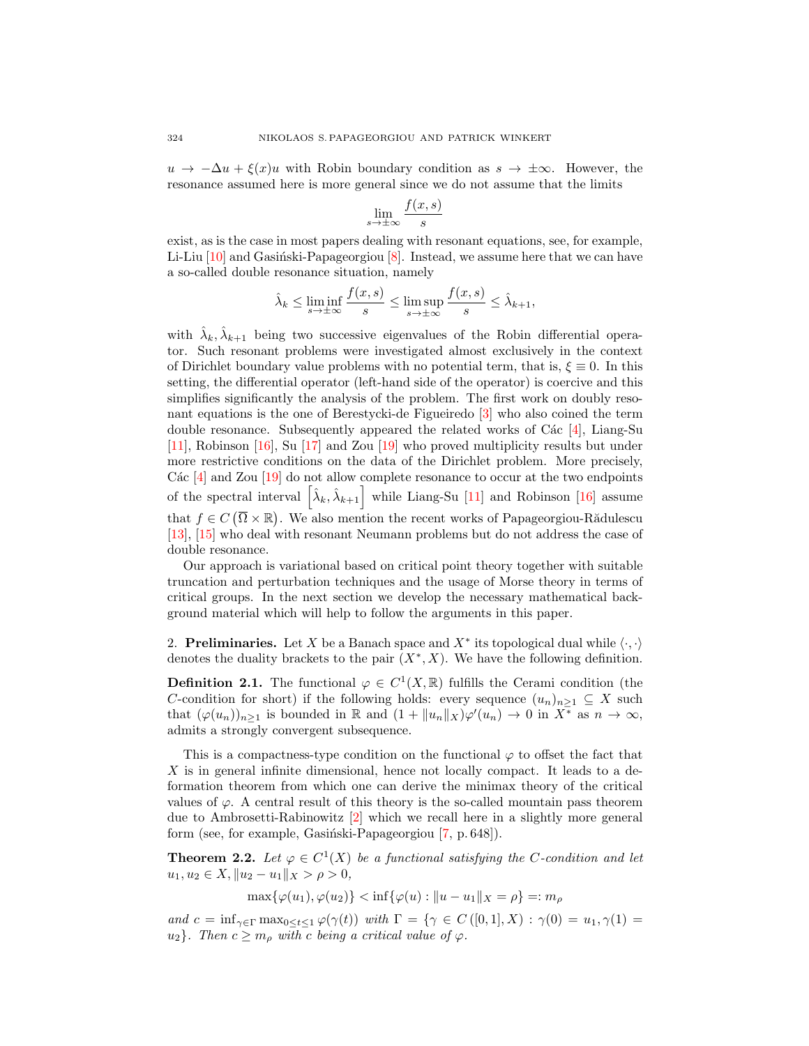$u \to -\Delta u + \xi(x)u$  with Robin boundary condition as  $s \to \pm \infty$ . However, the resonance assumed here is more general since we do not assume that the limits

$$
\lim_{s \to \pm \infty} \frac{f(x, s)}{s}
$$

exist, as is the case in most papers dealing with resonant equations, see, for example, Li-Liu  $[10]$  and Gasinski-Papageorgiou  $[8]$ . Instead, we assume here that we can have a so-called double resonance situation, namely

$$
\hat{\lambda}_k \le \liminf_{s \to \pm \infty} \frac{f(x, s)}{s} \le \limsup_{s \to \pm \infty} \frac{f(x, s)}{s} \le \hat{\lambda}_{k+1},
$$

with  $\hat{\lambda}_k, \hat{\lambda}_{k+1}$  being two successive eigenvalues of the Robin differential operator. Such resonant problems were investigated almost exclusively in the context of Dirichlet boundary value problems with no potential term, that is,  $\xi \equiv 0$ . In this setting, the differential operator (left-hand side of the operator) is coercive and this simplifies significantly the analysis of the problem. The first work on doubly resonant equations is the one of Berestycki-de Figueiredo [\[3\]](#page-21-2) who also coined the term double resonance. Subsequently appeared the related works of C $\acute{a}c$  [\[4\]](#page-21-3), Liang-Su [\[11\]](#page-21-4), Robinson [\[16\]](#page-21-5), Su [\[17\]](#page-21-6) and Zou [\[19\]](#page-21-7) who proved multiplicity results but under more restrictive conditions on the data of the Dirichlet problem. More precisely, C $\acute{a}c$  [\[4\]](#page-21-3) and Zou [\[19\]](#page-21-7) do not allow complete resonance to occur at the two endpoints of the spectral interval  $\left[\hat{\lambda}_k, \hat{\lambda}_{k+1}\right]$  while Liang-Su [\[11\]](#page-21-4) and Robinson [\[16\]](#page-21-5) assume that  $f \in C(\overline{\Omega} \times \mathbb{R})$ . We also mention the recent works of Papageorgiou-Rădulescu [\[13\]](#page-21-8), [\[15\]](#page-21-9) who deal with resonant Neumann problems but do not address the case of double resonance.

Our approach is variational based on critical point theory together with suitable truncation and perturbation techniques and the usage of Morse theory in terms of critical groups. In the next section we develop the necessary mathematical background material which will help to follow the arguments in this paper.

<span id="page-1-0"></span>2. **Preliminaries.** Let X be a Banach space and  $X^*$  its topological dual while  $\langle \cdot, \cdot \rangle$ denotes the duality brackets to the pair  $(X^*, X)$ . We have the following definition.

**Definition 2.1.** The functional  $\varphi \in C^1(X,\mathbb{R})$  fulfills the Cerami condition (the C-condition for short) if the following holds: every sequence  $(u_n)_{n>1} \subseteq X$  such that  $(\varphi(u_n))_{n\geq 1}$  is bounded in  $\mathbb R$  and  $(1 + ||u_n||_X)\varphi'(u_n) \to 0$  in  $X^*$  as  $n \to \infty$ , admits a strongly convergent subsequence.

This is a compactness-type condition on the functional  $\varphi$  to offset the fact that  $X$  is in general infinite dimensional, hence not locally compact. It leads to a deformation theorem from which one can derive the minimax theory of the critical values of  $\varphi$ . A central result of this theory is the so-called mountain pass theorem due to Ambrosetti-Rabinowitz [\[2\]](#page-21-10) which we recall here in a slightly more general form (see, for example, Gasiński-Papageorgiou [\[7,](#page-21-11) p. 648]).

<span id="page-1-1"></span>**Theorem 2.2.** Let  $\varphi \in C^1(X)$  be a functional satisfying the C-condition and let  $u_1, u_2 \in X, \|u_2 - u_1\|_X > \rho > 0,$ 

 $\max{\{\varphi(u_1), \varphi(u_2)\}} \leq \inf{\{\varphi(u) : ||u - u_1||_X = \rho\}} =: m_\rho$ 

and  $c = \inf_{\gamma \in \Gamma} \max_{0 \le t \le 1} \varphi(\gamma(t))$  with  $\Gamma = \{ \gamma \in C([0,1], X) : \gamma(0) = u_1, \gamma(1) = 1\}$  $u_2$ . Then  $c \geq m_\rho$  with c being a critical value of  $\varphi$ .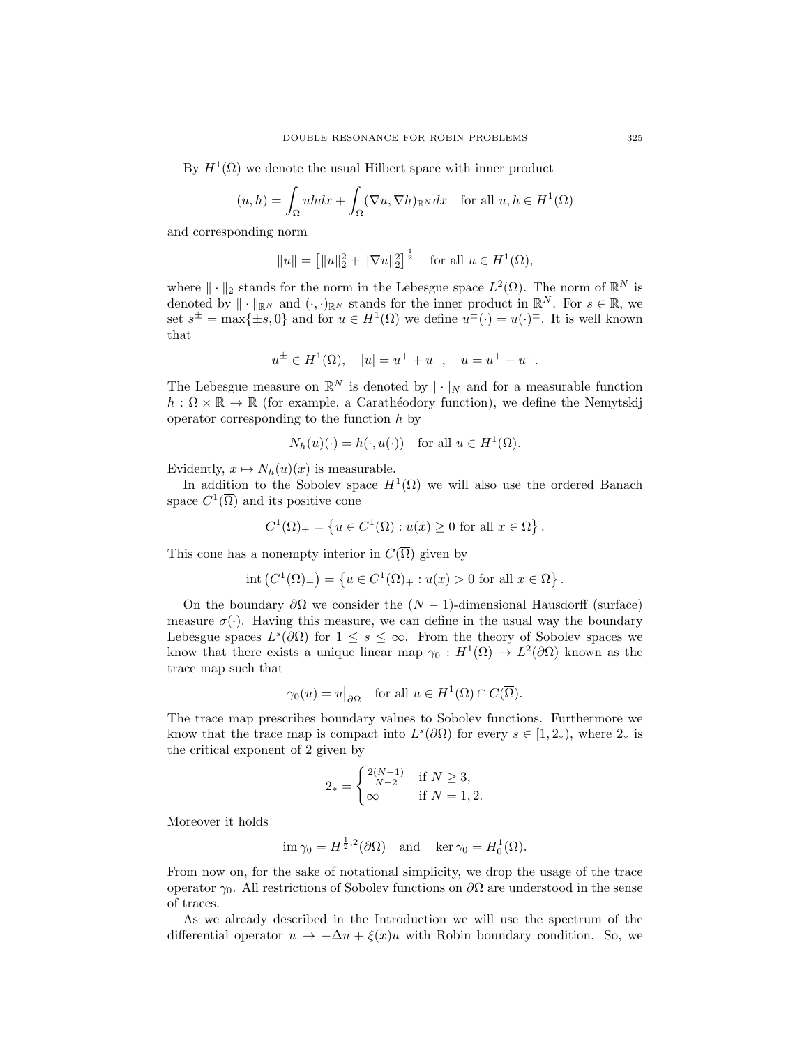By  $H^1(\Omega)$  we denote the usual Hilbert space with inner product

$$
(u,h) = \int_{\Omega} uhdx + \int_{\Omega} (\nabla u, \nabla h)_{\mathbb{R}^N} dx \quad \text{for all } u, h \in H^1(\Omega)
$$

and corresponding norm

$$
||u|| = [||u||_2^2 + ||\nabla u||_2^2]^{\frac{1}{2}}
$$
 for all  $u \in H^1(\Omega)$ ,

where  $\|\cdot\|_2$  stands for the norm in the Lebesgue space  $L^2(\Omega)$ . The norm of  $\mathbb{R}^N$  is denoted by  $\|\cdot\|_{\mathbb{R}^N}$  and  $(\cdot, \cdot)_{\mathbb{R}^N}$  stands for the inner product in  $\mathbb{R}^N$ . For  $s \in \mathbb{R}$ , we set  $s^{\pm} = \max\{\pm s, 0\}$  and for  $u \in H^1(\Omega)$  we define  $u^{\pm}(\cdot) = u(\cdot)^{\pm}$ . It is well known that

$$
u^{\pm} \in H^{1}(\Omega), \quad |u| = u^{+} + u^{-}, \quad u = u^{+} - u^{-}.
$$

The Lebesgue measure on  $\mathbb{R}^N$  is denoted by  $|\cdot|_N$  and for a measurable function  $h: \Omega \times \mathbb{R} \to \mathbb{R}$  (for example, a Carathéodory function), we define the Nemytskij operator corresponding to the function  $h$  by

$$
N_h(u)(\cdot) = h(\cdot, u(\cdot))
$$
 for all  $u \in H^1(\Omega)$ .

Evidently,  $x \mapsto N_h(u)(x)$  is measurable.

In addition to the Sobolev space  $H^1(\Omega)$  we will also use the ordered Banach space  $C^1(\overline{\Omega})$  and its positive cone

$$
C^{1}(\overline{\Omega})_{+} = \left\{ u \in C^{1}(\overline{\Omega}) : u(x) \ge 0 \text{ for all } x \in \overline{\Omega} \right\}.
$$

This cone has a nonempty interior in  $C(\overline{\Omega})$  given by

$$
int (C^{1}(\overline{\Omega})_{+}) = \{ u \in C^{1}(\overline{\Omega})_{+} : u(x) > 0 \text{ for all } x \in \overline{\Omega} \}.
$$

On the boundary  $\partial\Omega$  we consider the  $(N-1)$ -dimensional Hausdorff (surface) measure  $\sigma(\cdot)$ . Having this measure, we can define in the usual way the boundary Lebesgue spaces  $L^s(\partial\Omega)$  for  $1 \leq s \leq \infty$ . From the theory of Sobolev spaces we know that there exists a unique linear map  $\gamma_0: H^1(\Omega) \to L^2(\partial\Omega)$  known as the trace map such that

$$
\gamma_0(u) = u|_{\partial\Omega}
$$
 for all  $u \in H^1(\Omega) \cap C(\overline{\Omega})$ .

The trace map prescribes boundary values to Sobolev functions. Furthermore we know that the trace map is compact into  $L^s(\partial\Omega)$  for every  $s \in [1, 2_*)$ , where  $2_*$  is the critical exponent of 2 given by

$$
2_* = \begin{cases} \frac{2(N-1)}{N-2} & \text{if } N \ge 3, \\ \infty & \text{if } N = 1, 2. \end{cases}
$$

Moreover it holds

$$
\operatorname{im} \gamma_0 = H^{\frac{1}{2},2}(\partial \Omega)
$$
 and  $\operatorname{ker} \gamma_0 = H_0^1(\Omega)$ .

From now on, for the sake of notational simplicity, we drop the usage of the trace operator  $\gamma_0$ . All restrictions of Sobolev functions on  $\partial\Omega$  are understood in the sense of traces.

As we already described in the Introduction we will use the spectrum of the differential operator  $u \to -\Delta u + \xi(x)u$  with Robin boundary condition. So, we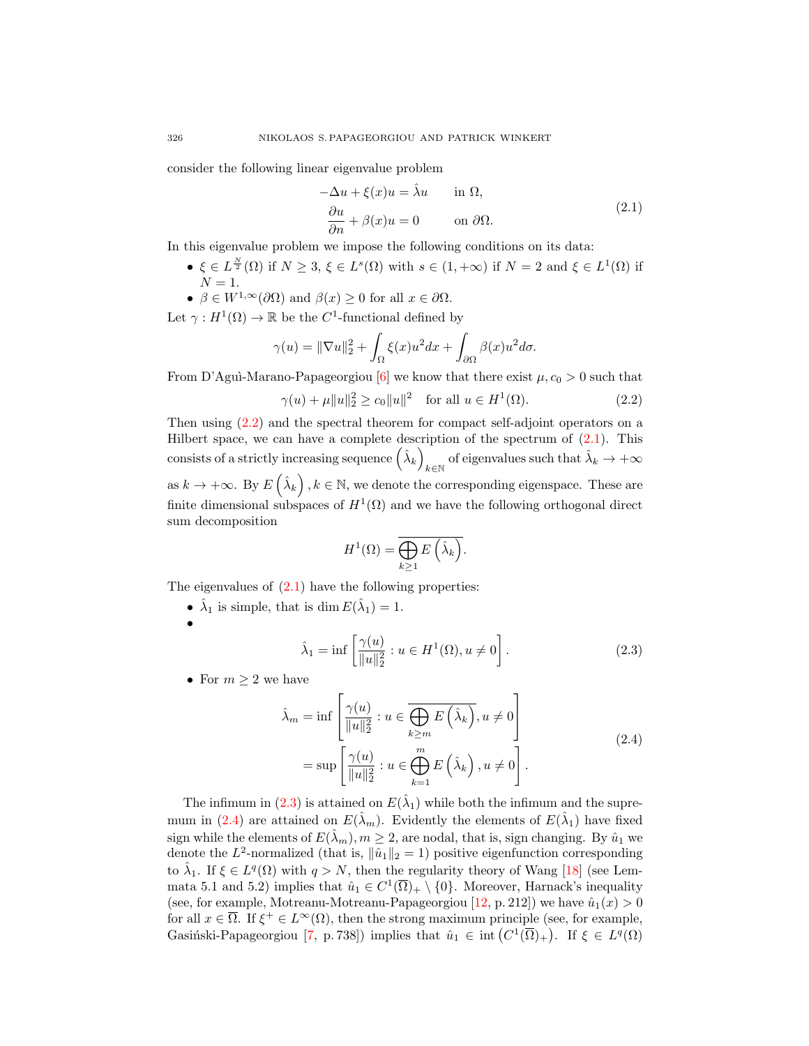consider the following linear eigenvalue problem

<span id="page-3-1"></span>
$$
-\Delta u + \xi(x)u = \hat{\lambda}u \quad \text{in } \Omega,
$$
  
\n
$$
\frac{\partial u}{\partial n} + \beta(x)u = 0 \quad \text{on } \partial\Omega.
$$
\n(2.1)

In this eigenvalue problem we impose the following conditions on its data:

- $\xi \in L^{\frac{N}{2}}(\Omega)$  if  $N \geq 3$ ,  $\xi \in L^{s}(\Omega)$  with  $s \in (1, +\infty)$  if  $N = 2$  and  $\xi \in L^{1}(\Omega)$  if  $N=1.$
- $\beta \in W^{1,\infty}(\partial\Omega)$  and  $\beta(x) \geq 0$  for all  $x \in \partial\Omega$ .

Let  $\gamma: H^1(\Omega) \to \mathbb{R}$  be the C<sup>1</sup>-functional defined by

$$
\gamma(u) = \|\nabla u\|_2^2 + \int_{\Omega} \xi(x)u^2 dx + \int_{\partial\Omega} \beta(x)u^2 d\sigma.
$$

From D'Agui-Marano-Papageorgiou [\[6\]](#page-21-12) we know that there exist  $\mu$ ,  $c_0 > 0$  such that  $\gamma(u) + \mu \|u\|_2^2 \ge c_0 \|u\|^2$  for all  $u \in H^1$  $(2.2)$ 

Then using [\(2.2\)](#page-3-0) and the spectral theorem for compact self-adjoint operators on a Hilbert space, we can have a complete description of the spectrum of [\(2.1\)](#page-3-1). This consists of a strictly increasing sequence  $(\hat{\lambda}_k)$ of eigenvalues such that  $\hat{\lambda}_k \to +\infty$ as  $k \to +\infty$ . By  $E\left(\hat{\lambda}_k\right), k \in \mathbb{N}$ , we denote the corresponding eigenspace. These are finite dimensional subspaces of  $H^1(\Omega)$  and we have the following orthogonal direct sum decomposition

<span id="page-3-2"></span><span id="page-3-0"></span>
$$
H^{1}(\Omega) = \overline{\bigoplus_{k \geq 1} E\left(\hat{\lambda}_{k}\right)}.
$$

The eigenvalues of  $(2.1)$  have the following properties:

- $\hat{\lambda}_1$  is simple, that is dim  $E(\hat{\lambda}_1) = 1$ .
- •

<span id="page-3-3"></span>
$$
\hat{\lambda}_1 = \inf \left[ \frac{\gamma(u)}{\|u\|_2^2} : u \in H^1(\Omega), u \neq 0 \right].
$$
 (2.3)

• For  $m \geq 2$  we have

$$
\hat{\lambda}_m = \inf \left[ \frac{\gamma(u)}{\|u\|_2^2} : u \in \overline{\bigoplus_{k \ge m} E\left(\hat{\lambda}_k\right)}, u \neq 0 \right]
$$
\n
$$
= \sup \left[ \frac{\gamma(u)}{\|u\|_2^2} : u \in \bigoplus_{k=1}^m E\left(\hat{\lambda}_k\right), u \neq 0 \right].
$$
\n(2.4)

The infimum in [\(2.3\)](#page-3-2) is attained on  $E(\hat{\lambda}_1)$  while both the infimum and the supre-mum in [\(2.4\)](#page-3-3) are attained on  $E(\hat{\lambda}_m)$ . Evidently the elements of  $E(\hat{\lambda}_1)$  have fixed sign while the elements of  $E(\hat{\lambda}_m), m \geq 2$ , are nodal, that is, sign changing. By  $\hat{u}_1$  we denote the L<sup>2</sup>-normalized (that is,  $\|\hat{u}_1\|_2 = 1$ ) positive eigenfunction corresponding to  $\hat{\lambda}_1$ . If  $\xi \in L^q(\Omega)$  with  $q > N$ , then the regularity theory of Wang [\[18\]](#page-21-13) (see Lemmata 5.1 and 5.2) implies that  $\hat{u}_1 \in C^1(\overline{\Omega})_+ \setminus \{0\}$ . Moreover, Harnack's inequality (see, for example, Motreanu-Motreanu-Papageorgiou [\[12,](#page-21-14) p. 212]) we have  $\hat{u}_1(x) > 0$ for all  $x \in \overline{\Omega}$ . If  $\xi^+ \in L^{\infty}(\Omega)$ , then the strong maximum principle (see, for example, Gasiński-Papageorgiou [\[7,](#page-21-11) p. 738]) implies that  $\hat{u}_1 \in \text{int}(C^1(\overline{\Omega})_+)$ . If  $\xi \in L^q(\Omega)$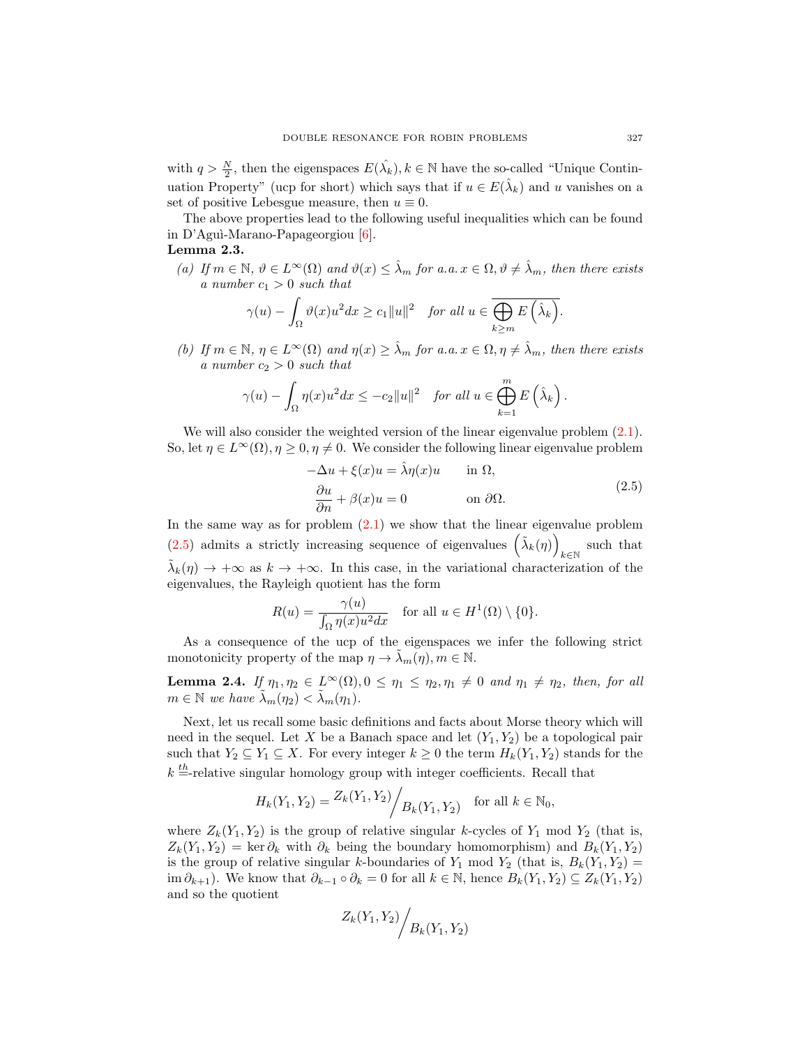with  $q > \frac{N}{2}$ , then the eigenspaces  $E(\hat{\lambda}_k)$ ,  $k \in \mathbb{N}$  have the so-called "Unique Continuation Property" (ucp for short) which says that if  $u \in E(\hat{\lambda}_k)$  and u vanishes on a set of positive Lebesgue measure, then  $u \equiv 0$ .

The above properties lead to the following useful inequalities which can be found in D'Aguì-Marano-Papageorgiou [\[6\]](#page-21-12).

## Lemma 2.3.

(a) If  $m \in \mathbb{N}$ ,  $\vartheta \in L^{\infty}(\Omega)$  and  $\vartheta(x) \leq \hat{\lambda}_m$  for a.a.  $x \in \Omega$ ,  $\vartheta \neq \hat{\lambda}_m$ , then there exists a number  $c_1 > 0$  such that

$$
\gamma(u) - \int_{\Omega} \vartheta(x)u^2 dx \ge c_1 ||u||^2 \quad \text{for all } u \in \overline{\bigoplus_{k \ge m} E\left(\hat{\lambda}_k\right)}.
$$

(b) If  $m \in \mathbb{N}$ ,  $\eta \in L^{\infty}(\Omega)$  and  $\eta(x) \geq \hat{\lambda}_m$  for a.a.  $x \in \Omega$ ,  $\eta \neq \hat{\lambda}_m$ , then there exists a number  $c_2 > 0$  such that

$$
\gamma(u) - \int_{\Omega} \eta(x)u^2 dx \leq -c_2 ||u||^2 \quad \text{for all } u \in \bigoplus_{k=1}^m E\left(\hat{\lambda}_k\right).
$$

We will also consider the weighted version of the linear eigenvalue problem  $(2.1)$ . So, let  $\eta \in L^{\infty}(\Omega)$ ,  $\eta \geq 0$ ,  $\eta \neq 0$ . We consider the following linear eigenvalue problem

<span id="page-4-0"></span>
$$
-\Delta u + \xi(x)u = \hat{\lambda}\eta(x)u \quad \text{in } \Omega,
$$
  
\n
$$
\frac{\partial u}{\partial n} + \beta(x)u = 0 \quad \text{on } \partial\Omega.
$$
\n(2.5)

In the same way as for problem  $(2.1)$  we show that the linear eigenvalue problem [\(2.5\)](#page-4-0) admits a strictly increasing sequence of eigenvalues  $(\tilde{\lambda}_k(\eta))$ such that  $k \in \mathbb{N}$  $\tilde{\lambda}_k(\eta) \to +\infty$  as  $k \to +\infty$ . In this case, in the variational characterization of the eigenvalues, the Rayleigh quotient has the form

$$
R(u) = \frac{\gamma(u)}{\int_{\Omega} \eta(x)u^2 dx} \quad \text{for all } u \in H^1(\Omega) \setminus \{0\}.
$$

As a consequence of the ucp of the eigenspaces we infer the following strict monotonicity property of the map  $\eta \to \lambda_m(\eta), m \in \mathbb{N}$ .

<span id="page-4-1"></span>**Lemma 2.4.** If  $\eta_1, \eta_2 \in L^{\infty}(\Omega), 0 \leq \eta_1 \leq \eta_2, \eta_1 \neq 0$  and  $\eta_1 \neq \eta_2$ , then, for all  $m \in \mathbb{N}$  we have  $\tilde{\lambda}_m(\eta_2) < \tilde{\lambda}_m(\eta_1)$ .

Next, let us recall some basic definitions and facts about Morse theory which will need in the sequel. Let X be a Banach space and let  $(Y_1, Y_2)$  be a topological pair such that  $Y_2 \subseteq Y_1 \subseteq X$ . For every integer  $k \geq 0$  the term  $H_k(Y_1, Y_2)$  stands for the  $k =$ -relative singular homology group with integer coefficients. Recall that

$$
H_k(Y_1, Y_2) = \frac{Z_k(Y_1, Y_2)}{Z_k(Y_1, Y_2)}
$$
 for all  $k \in \mathbb{N}_0$ ,

where  $Z_k(Y_1, Y_2)$  is the group of relative singular k-cycles of  $Y_1$  mod  $Y_2$  (that is,  $Z_k(Y_1, Y_2) = \text{ker } \partial_k$  with  $\partial_k$  being the boundary homomorphism) and  $B_k(Y_1, Y_2)$ is the group of relative singular k-boundaries of  $Y_1$  mod  $Y_2$  (that is,  $B_k(Y_1, Y_2)$  = im  $\partial_{k+1}$ ). We know that  $\partial_{k-1} \circ \partial_k = 0$  for all  $k \in \mathbb{N}$ , hence  $B_k(Y_1, Y_2) \subseteq Z_k(Y_1, Y_2)$ and so the quotient

$$
Z_k(Y_1, Y_2) / B_k(Y_1, Y_2)
$$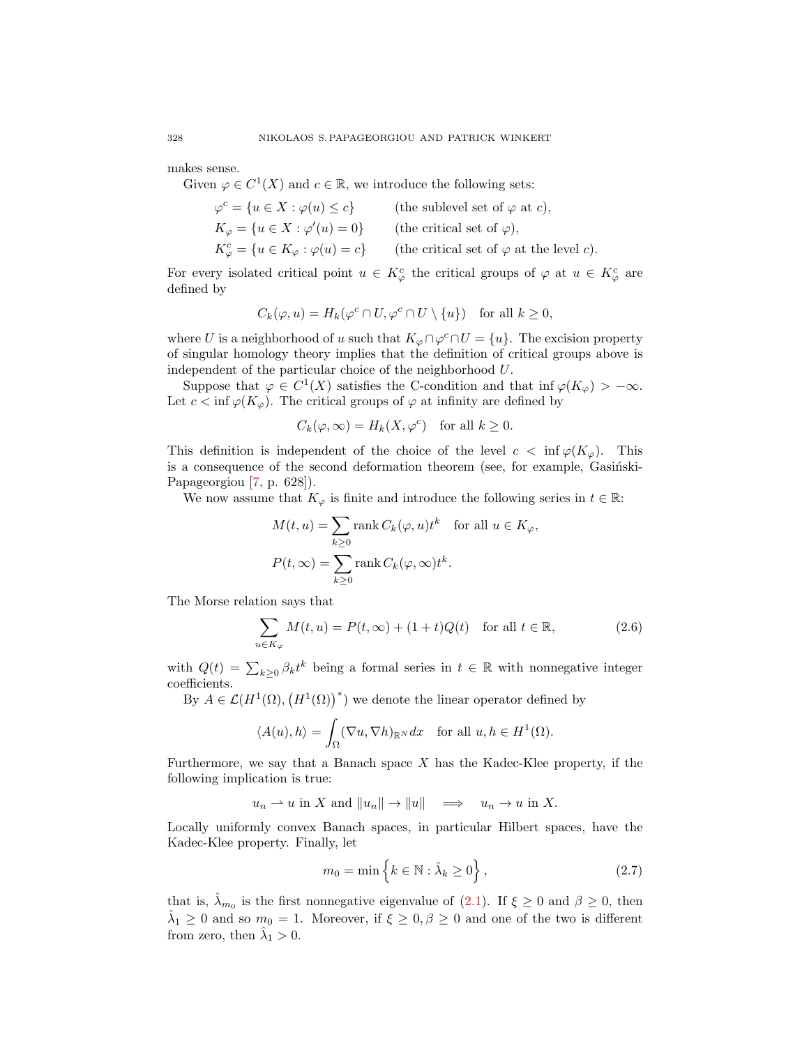makes sense.

Given  $\varphi \in C^1(X)$  and  $c \in \mathbb{R}$ , we introduce the following sets:

$$
\varphi^c = \{ u \in X : \varphi(u) \le c \} \qquad \text{(the sublevel set of } \varphi \text{ at } c),
$$
  
\n
$$
K_{\varphi} = \{ u \in X : \varphi'(u) = 0 \} \qquad \text{(the critical set of } \varphi),
$$
  
\n
$$
K_{\varphi}^c = \{ u \in K_{\varphi} : \varphi(u) = c \} \qquad \text{(the critical set of } \varphi \text{ at the level } c).
$$

For every isolated critical point  $u \in K^c_\varphi$  the critical groups of  $\varphi$  at  $u \in K^c_\varphi$  are defined by

$$
C_k(\varphi, u) = H_k(\varphi^c \cap U, \varphi^c \cap U \setminus \{u\}) \quad \text{for all } k \ge 0,
$$

where U is a neighborhood of u such that  $K_{\varphi} \cap \varphi^c \cap U = \{u\}$ . The excision property of singular homology theory implies that the definition of critical groups above is independent of the particular choice of the neighborhood U.

Suppose that  $\varphi \in C^1(X)$  satisfies the C-condition and that inf  $\varphi(K_{\varphi}) > -\infty$ . Let  $c < \inf \varphi(K_{\varphi})$ . The critical groups of  $\varphi$  at infinity are defined by

$$
C_k(\varphi,\infty) = H_k(X,\varphi^c) \quad \text{for all } k \ge 0.
$$

This definition is independent of the choice of the level  $c < \inf \varphi(K_{\varphi})$ . This is a consequence of the second deformation theorem (see, for example, Gasinski-Papageorgiou [\[7,](#page-21-11) p. 628]).

We now assume that  $K_{\varphi}$  is finite and introduce the following series in  $t \in \mathbb{R}$ :

<span id="page-5-1"></span>
$$
M(t, u) = \sum_{k \ge 0} \text{rank } C_k(\varphi, u)t^k \quad \text{for all } u \in K_{\varphi},
$$
  

$$
P(t, \infty) = \sum_{k \ge 0} \text{rank } C_k(\varphi, \infty)t^k.
$$

The Morse relation says that

$$
\sum_{u \in K_{\varphi}} M(t, u) = P(t, \infty) + (1 + t)Q(t) \quad \text{for all } t \in \mathbb{R},\tag{2.6}
$$

with  $Q(t) = \sum_{k\geq 0} \beta_k t^k$  being a formal series in  $t \in \mathbb{R}$  with nonnegative integer coefficients.

By  $A \in \mathcal{L}(H^1(\Omega), (H^1(\Omega))^*)$  we denote the linear operator defined by

$$
\langle A(u), h \rangle = \int_{\Omega} (\nabla u, \nabla h)_{\mathbb{R}^N} dx \quad \text{for all } u, h \in H^1(\Omega).
$$

Furthermore, we say that a Banach space  $X$  has the Kadec-Klee property, if the following implication is true:

 $u_n \rightharpoonup u$  in X and  $||u_n|| \rightharpoonup ||u|| \rightharpoonup \rightharpoonup u_n \rightharpoonup u$  in X.

Locally uniformly convex Banach spaces, in particular Hilbert spaces, have the Kadec-Klee property. Finally, let

<span id="page-5-0"></span>
$$
m_0 = \min\left\{k \in \mathbb{N} : \hat{\lambda}_k \ge 0\right\},\tag{2.7}
$$

that is,  $\hat{\lambda}_{m_0}$  is the first nonnegative eigenvalue of [\(2.1\)](#page-3-1). If  $\xi \geq 0$  and  $\beta \geq 0$ , then  $\hat{\lambda}_1 \geq 0$  and so  $m_0 = 1$ . Moreover, if  $\xi \geq 0, \beta \geq 0$  and one of the two is different from zero, then  $\hat{\lambda}_1 > 0$ .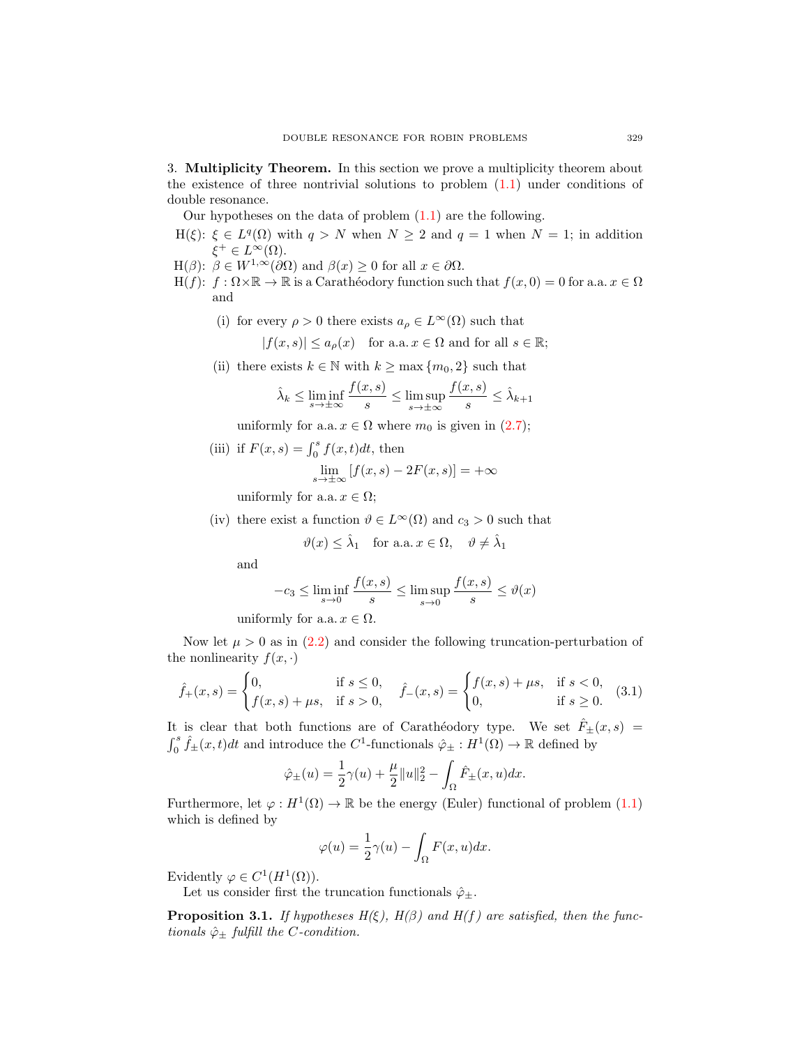3. Multiplicity Theorem. In this section we prove a multiplicity theorem about the existence of three nontrivial solutions to problem [\(1.1\)](#page-0-0) under conditions of double resonance.

Our hypotheses on the data of problem  $(1.1)$  are the following.

- $H(\xi)$ :  $\xi \in L^q(\Omega)$  with  $q > N$  when  $N \geq 2$  and  $q = 1$  when  $N = 1$ ; in addition  $\xi^+ \in L^{\infty}(\Omega)$ .
- H( $\beta$ ):  $\beta \in W^{1,\infty}(\partial \Omega)$  and  $\beta(x) \geq 0$  for all  $x \in \partial \Omega$ .
- H(f):  $f: \Omega \times \mathbb{R} \to \mathbb{R}$  is a Carathéodory function such that  $f(x, 0) = 0$  for a.a.  $x \in \Omega$ and
	- (i) for every  $\rho > 0$  there exists  $a_{\rho} \in L^{\infty}(\Omega)$  such that

$$
|f(x, s)| \le a_{\rho}(x)
$$
 for a.a.  $x \in \Omega$  and for all  $s \in \mathbb{R}$ ;

(ii) there exists  $k \in \mathbb{N}$  with  $k \ge \max \{m_0, 2\}$  such that

$$
\hat{\lambda}_k \le \liminf_{s \to \pm \infty} \frac{f(x, s)}{s} \le \limsup_{s \to \pm \infty} \frac{f(x, s)}{s} \le \hat{\lambda}_{k+1}
$$

uniformly for a.a.  $x \in \Omega$  where  $m_0$  is given in  $(2.7)$ ;

(iii) if  $F(x, s) = \int_0^s f(x, t)dt$ , then

$$
\lim_{s \to \pm \infty} [f(x, s) - 2F(x, s)] = +\infty
$$

uniformly for a.a.  $x \in \Omega$ ;

(iv) there exist a function  $\vartheta \in L^{\infty}(\Omega)$  and  $c_3 > 0$  such that

$$
\vartheta(x) \leq \hat{\lambda}_1
$$
 for a.a.  $x \in \Omega$ ,  $\vartheta \neq \hat{\lambda}_1$ 

and

$$
-c_3 \le \liminf_{s \to 0} \frac{f(x,s)}{s} \le \limsup_{s \to 0} \frac{f(x,s)}{s} \le \vartheta(x)
$$

uniformly for a.a.  $x \in \Omega$ .

Now let  $\mu > 0$  as in  $(2.2)$  and consider the following truncation-perturbation of the nonlinearity  $f(x, \cdot)$ 

$$
\hat{f}_{+}(x,s) = \begin{cases} 0, & \text{if } s \le 0, \\ f(x,s) + \mu s, & \text{if } s > 0, \end{cases} \quad \hat{f}_{-}(x,s) = \begin{cases} f(x,s) + \mu s, & \text{if } s < 0, \\ 0, & \text{if } s \ge 0. \end{cases}
$$
(3.1)

It is clear that both functions are of Carathéodory type. We set  $\hat{F}_\pm(x, s)$  =  $\int_0^s \hat{f}_\pm(x,t)dt$  and introduce the  $C^1$ -functionals  $\hat{\varphi}_\pm : H^1(\Omega) \to \mathbb{R}$  defined by

$$
\hat{\varphi}_{\pm}(u) = \frac{1}{2}\gamma(u) + \frac{\mu}{2}||u||_2^2 - \int_{\Omega}\hat{F}_{\pm}(x, u)dx.
$$

Furthermore, let  $\varphi: H^1(\Omega) \to \mathbb{R}$  be the energy (Euler) functional of problem [\(1.1\)](#page-0-0) which is defined by

<span id="page-6-0"></span>
$$
\varphi(u) = \frac{1}{2}\gamma(u) - \int_{\Omega} F(x, u)dx.
$$

Evidently  $\varphi \in C^1(H^1(\Omega)).$ 

Let us consider first the truncation functionals  $\hat{\varphi}_{\pm}$ .

<span id="page-6-1"></span>**Proposition 3.1.** If hypotheses  $H(\xi)$ ,  $H(\beta)$  and  $H(f)$  are satisfied, then the functionals  $\hat{\varphi}_{\pm}$  fulfill the C-condition.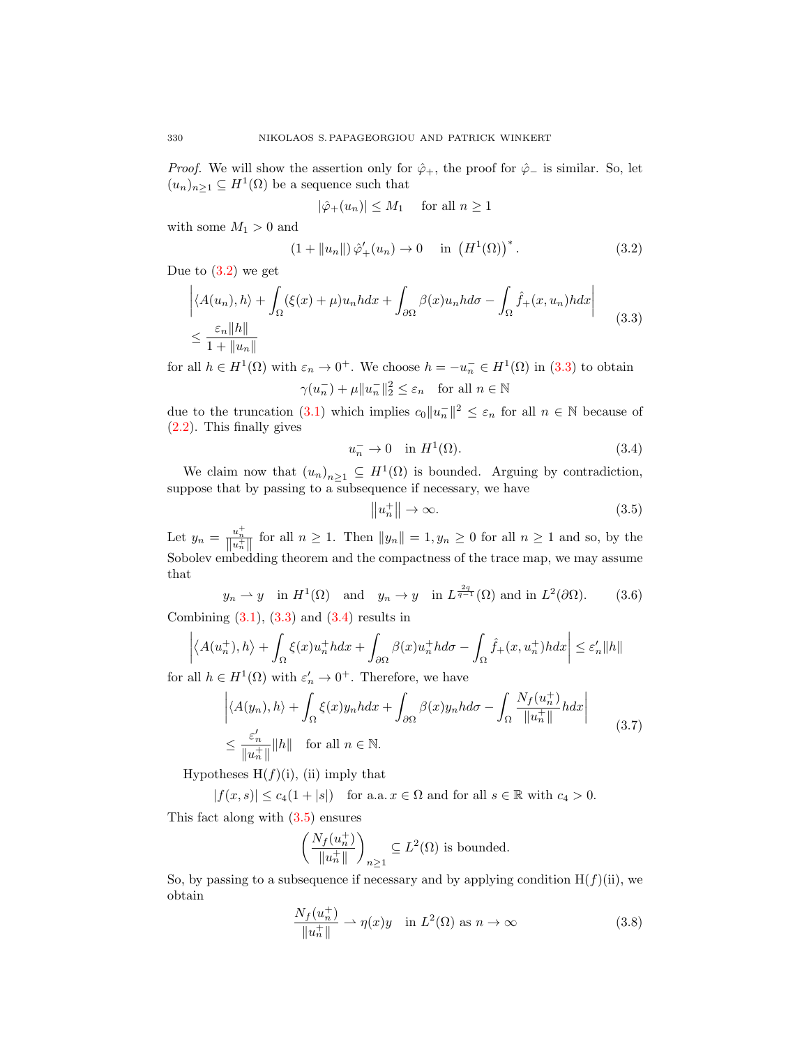*Proof.* We will show the assertion only for  $\hat{\varphi}_+$ , the proof for  $\hat{\varphi}_-$  is similar. So, let  $(u_n)_{n\geq 1} \subseteq H^1(\Omega)$  be a sequence such that

<span id="page-7-0"></span>
$$
|\hat{\varphi}_+(u_n)| \le M_1 \quad \text{ for all } n \ge 1
$$

with some  $M_1 > 0$  and

$$
(1 + \|u_n\|)\hat{\varphi}'_+(u_n) \to 0 \quad \text{in } (H^1(\Omega))^*.
$$
 (3.2)

Due to  $(3.2)$  we get

$$
\left| \langle A(u_n), h \rangle + \int_{\Omega} (\xi(x) + \mu) u_n h dx + \int_{\partial \Omega} \beta(x) u_n h d\sigma - \int_{\Omega} \hat{f}_+(x, u_n) h dx \right|
$$
  

$$
\leq \frac{\varepsilon_n \|h\|}{1 + \|u_n\|} \tag{3.3}
$$

for all  $h \in H^1(\Omega)$  with  $\varepsilon_n \to 0^+$ . We choose  $h = -u_n^- \in H^1(\Omega)$  in [\(3.3\)](#page-7-1) to obtain  $\gamma(u_n^-) + \mu \|u_n^-\|_2^2 \leq \varepsilon_n \quad \text{for all } n \in \mathbb{N}$ 

due to the truncation [\(3.1\)](#page-6-0) which implies  $c_0||u_n||^2 \leq \varepsilon_n$  for all  $n \in \mathbb{N}$  because of [\(2.2\)](#page-3-0). This finally gives

<span id="page-7-1"></span>
$$
u_n^- \to 0 \quad \text{in } H^1(\Omega). \tag{3.4}
$$

We claim now that  $(u_n)_{n\geq 1} \subseteq H^1(\Omega)$  is bounded. Arguing by contradiction, suppose that by passing to a subsequence if necessary, we have

<span id="page-7-5"></span><span id="page-7-4"></span><span id="page-7-3"></span><span id="page-7-2"></span>
$$
||u_n^+|| \to \infty. \tag{3.5}
$$

Let  $y_n = \frac{u_n^+}{\|u_n^+\|}$  for all  $n \ge 1$ . Then  $\|y_n\| = 1, y_n \ge 0$  for all  $n \ge 1$  and so, by the Sobolev embedding theorem and the compactness of the trace map, we may assume that

$$
y_n \to y
$$
 in  $H^1(\Omega)$  and  $y_n \to y$  in  $L^{\frac{2q}{q-1}}(\Omega)$  and in  $L^2(\partial\Omega)$ . (3.6)

Combining  $(3.1)$ ,  $(3.3)$  and  $(3.4)$  results in

$$
\left| \langle A(u_n^+), h \rangle + \int_{\Omega} \xi(x) u_n^+ h dx + \int_{\partial \Omega} \beta(x) u_n^+ h d\sigma - \int_{\Omega} \hat{f}_+(x, u_n^+) h dx \right| \le \varepsilon'_n \|h\|
$$

for all  $h \in H^1(\Omega)$  with  $\varepsilon'_n \to 0^+$ . Therefore, we have

$$
\left| \langle A(y_n), h \rangle + \int_{\Omega} \xi(x) y_n h dx + \int_{\partial \Omega} \beta(x) y_n h d\sigma - \int_{\Omega} \frac{N_f(u_n^+)}{\|u_n^+\|} h dx \right|
$$
  

$$
\leq \frac{\varepsilon'_n}{\|u_n^+\|} \|h\| \quad \text{for all } n \in \mathbb{N}.
$$
 (3.7)

Hypotheses  $H(f)(i)$ , (ii) imply that

 $|f(x, s)| \leq c_4(1+|s|)$  for a.a.  $x \in \Omega$  and for all  $s \in \mathbb{R}$  with  $c_4 > 0$ .

This fact along with  $(3.5)$  ensures

$$
\left(\frac{N_f(u_n^+)}{\|u_n^+\|}\right)_{n\geq 1}\subseteq L^2(\Omega)
$$
 is bounded.

So, by passing to a subsequence if necessary and by applying condition  $H(f)(ii)$ , we obtain

<span id="page-7-6"></span>
$$
\frac{N_f(u_n^+)}{\|u_n^+\|} \to \eta(x)y \quad \text{in } L^2(\Omega) \text{ as } n \to \infty \tag{3.8}
$$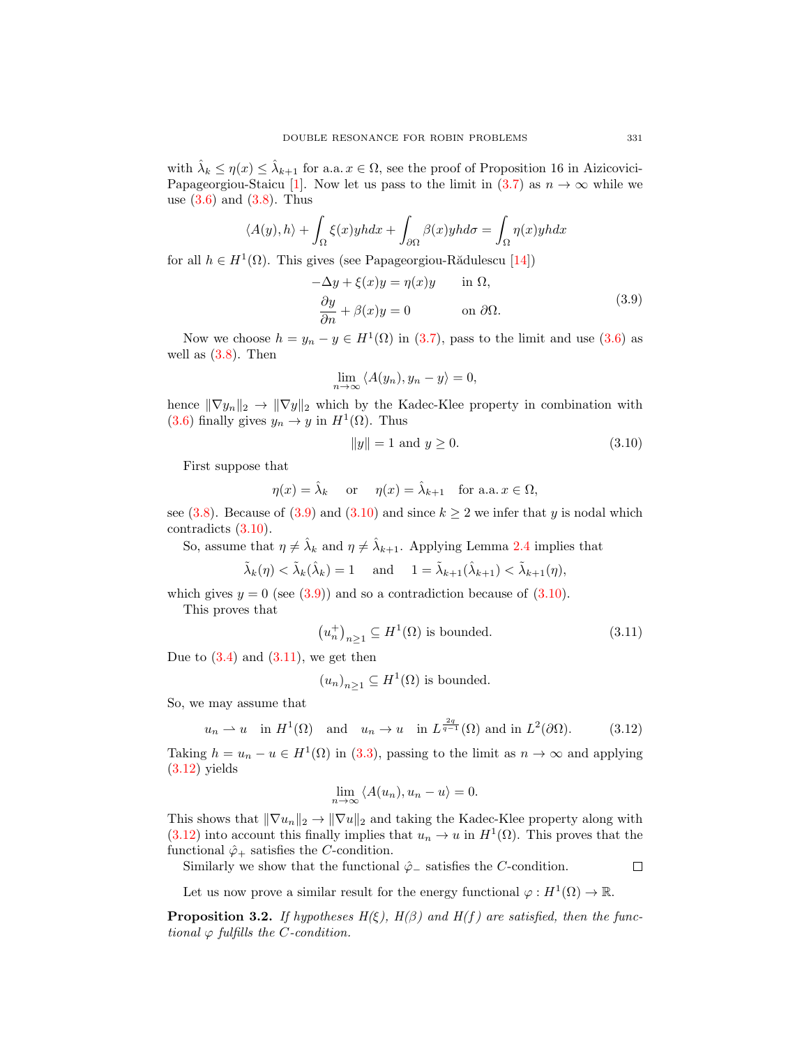with  $\hat{\lambda}_k \leq \eta(x) \leq \hat{\lambda}_{k+1}$  for a.a.  $x \in \Omega$ , see the proof of Proposition 16 in Aizicovici-Papageorgiou-Staicu [\[1\]](#page-21-15). Now let us pass to the limit in [\(3.7\)](#page-7-4) as  $n \to \infty$  while we use  $(3.6)$  and  $(3.8)$ . Thus

$$
\langle A(y), h \rangle + \int_{\Omega} \xi(x) y h dx + \int_{\partial \Omega} \beta(x) y h d\sigma = \int_{\Omega} \eta(x) y h dx
$$

for all  $h \in H^1(\Omega)$ . This gives (see Papageorgiou-Rădulescu [\[14\]](#page-21-16))

<span id="page-8-0"></span>
$$
-\Delta y + \xi(x)y = \eta(x)y \quad \text{in } \Omega,
$$
  

$$
\frac{\partial y}{\partial n} + \beta(x)y = 0 \quad \text{on } \partial\Omega.
$$
 (3.9)

Now we choose  $h = y_n - y \in H^1(\Omega)$  in [\(3.7\)](#page-7-4), pass to the limit and use [\(3.6\)](#page-7-5) as well as  $(3.8)$ . Then

$$
\lim_{n \to \infty} \langle A(y_n), y_n - y \rangle = 0,
$$

hence  $\|\nabla y_n\|_2 \to \|\nabla y\|_2$  which by the Kadec-Klee property in combination with [\(3.6\)](#page-7-5) finally gives  $y_n \to y$  in  $H^1(\Omega)$ . Thus

<span id="page-8-1"></span>
$$
||y|| = 1 \text{ and } y \ge 0. \tag{3.10}
$$

First suppose that

$$
\eta(x) = \hat{\lambda}_k \quad \text{ or } \quad \eta(x) = \hat{\lambda}_{k+1} \quad \text{for a.a. } x \in \Omega,
$$

see [\(3.8\)](#page-7-6). Because of [\(3.9\)](#page-8-0) and [\(3.10\)](#page-8-1) and since  $k \ge 2$  we infer that y is nodal which contradicts [\(3.10\)](#page-8-1).

So, assume that  $\eta \neq \hat{\lambda}_k$  and  $\eta \neq \hat{\lambda}_{k+1}$ . Applying Lemma [2.4](#page-4-1) implies that

$$
\tilde{\lambda}_k(\eta) < \tilde{\lambda}_k(\hat{\lambda}_k) = 1 \quad \text{and} \quad 1 = \tilde{\lambda}_{k+1}(\hat{\lambda}_{k+1}) < \tilde{\lambda}_{k+1}(\eta),
$$

which gives  $y = 0$  (see  $(3.9)$ ) and so a contradiction because of  $(3.10)$ .

This proves that

$$
(u_n^+)_{n\geq 1} \subseteq H^1(\Omega) \text{ is bounded.}
$$
 (3.11)

Due to  $(3.4)$  and  $(3.11)$ , we get then

$$
(u_n)_{n\geq 1} \subseteq H^1(\Omega)
$$
 is bounded.

So, we may assume that

$$
u_n \rightharpoonup u
$$
 in  $H^1(\Omega)$  and  $u_n \rightharpoonup u$  in  $L^{\frac{2q}{q-1}}(\Omega)$  and in  $L^2(\partial\Omega)$ . (3.12)

Taking  $h = u_n - u \in H^1(\Omega)$  in [\(3.3\)](#page-7-1), passing to the limit as  $n \to \infty$  and applying  $(3.12)$  yields

$$
\lim_{n \to \infty} \langle A(u_n), u_n - u \rangle = 0.
$$

This shows that  $\|\nabla u_n\|_2 \to \|\nabla u\|_2$  and taking the Kadec-Klee property along with  $(3.12)$  into account this finally implies that  $u_n \to u$  in  $H^1(\Omega)$ . This proves that the functional  $\hat{\varphi}_+$  satisfies the *C*-condition.

Similarly we show that the functional  $\hat{\varphi}_-\$  satisfies the C-condition.

<span id="page-8-3"></span><span id="page-8-2"></span> $\Box$ 

Let us now prove a similar result for the energy functional  $\varphi: H^1(\Omega) \to \mathbb{R}$ .

<span id="page-8-4"></span>**Proposition 3.2.** If hypotheses  $H(\xi)$ ,  $H(\beta)$  and  $H(f)$  are satisfied, then the functional  $\varphi$  fulfills the *C*-condition.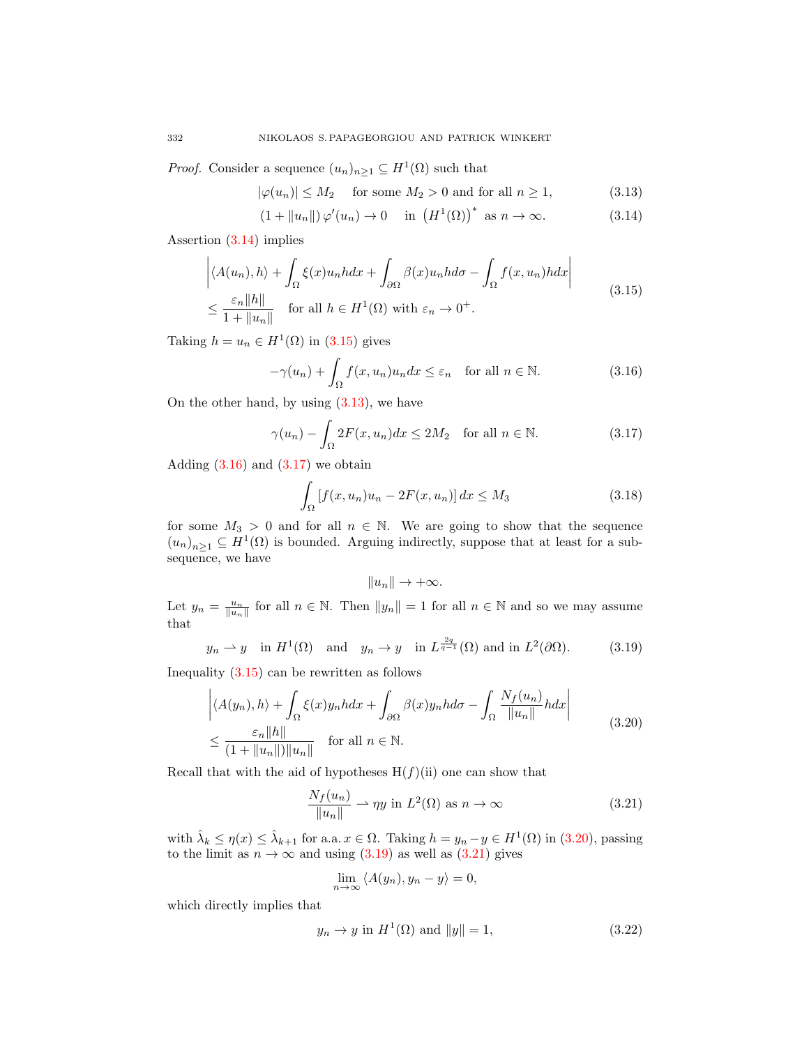*Proof.* Consider a sequence  $(u_n)_{n\geq 1} \subseteq H^1(\Omega)$  such that

<span id="page-9-2"></span><span id="page-9-0"></span>
$$
|\varphi(u_n)| \le M_2 \quad \text{ for some } M_2 > 0 \text{ and for all } n \ge 1,
$$
 (3.13)

$$
(1 + \|u_n\|)\varphi'(u_n) \to 0 \quad \text{in } (H^1(\Omega))^* \text{ as } n \to \infty.
$$
 (3.14)

Assertion [\(3.14\)](#page-9-0) implies

$$
\left| \langle A(u_n), h \rangle + \int_{\Omega} \xi(x) u_n h dx + \int_{\partial \Omega} \beta(x) u_n h d\sigma - \int_{\Omega} f(x, u_n) h dx \right|
$$
  

$$
\leq \frac{\varepsilon_n \|h\|}{1 + \|u_n\|} \quad \text{for all } h \in H^1(\Omega) \text{ with } \varepsilon_n \to 0^+.
$$
 (3.15)

Taking  $h = u_n \in H^1(\Omega)$  in [\(3.15\)](#page-9-1) gives

<span id="page-9-1"></span>
$$
-\gamma(u_n) + \int_{\Omega} f(x, u_n) u_n dx \le \varepsilon_n \quad \text{for all } n \in \mathbb{N}.
$$
 (3.16)

On the other hand, by using  $(3.13)$ , we have

$$
\gamma(u_n) - \int_{\Omega} 2F(x, u_n) dx \le 2M_2 \quad \text{for all } n \in \mathbb{N}.
$$
 (3.17)

Adding  $(3.16)$  and  $(3.17)$  we obtain

$$
\int_{\Omega} \left[ f(x, u_n) u_n - 2F(x, u_n) \right] dx \le M_3 \tag{3.18}
$$

for some  $M_3 > 0$  and for all  $n \in \mathbb{N}$ . We are going to show that the sequence  $(u_n)_{n\geq 1} \subseteq H^1(\Omega)$  is bounded. Arguing indirectly, suppose that at least for a subsequence, we have

<span id="page-9-9"></span><span id="page-9-6"></span><span id="page-9-5"></span><span id="page-9-4"></span><span id="page-9-3"></span>
$$
||u_n|| \to +\infty.
$$

Let  $y_n = \frac{u_n}{\|u_n\|}$  for all  $n \in \mathbb{N}$ . Then  $\|y_n\| = 1$  for all  $n \in \mathbb{N}$  and so we may assume that

$$
y_n \rightharpoonup y
$$
 in  $H^1(\Omega)$  and  $y_n \rightharpoonup y$  in  $L^{\frac{2q}{q-1}}(\Omega)$  and in  $L^2(\partial\Omega)$ . (3.19)

Inequality  $(3.15)$  can be rewritten as follows

$$
\left| \langle A(y_n), h \rangle + \int_{\Omega} \xi(x) y_n h dx + \int_{\partial \Omega} \beta(x) y_n h d\sigma - \int_{\Omega} \frac{N_f(u_n)}{\|u_n\|} h dx \right|
$$
  

$$
\leq \frac{\varepsilon_n \|h\|}{(1 + \|u_n\|) \|u_n\|} \quad \text{for all } n \in \mathbb{N}.
$$
 (3.20)

Recall that with the aid of hypotheses  $H(f)(ii)$  one can show that

$$
\frac{N_f(u_n)}{\|u_n\|} \to \eta y \text{ in } L^2(\Omega) \text{ as } n \to \infty \tag{3.21}
$$

with  $\hat{\lambda}_k \le \eta(x) \le \hat{\lambda}_{k+1}$  for a.a.  $x \in \Omega$ . Taking  $h = y_n - y \in H^1(\Omega)$  in [\(3.20\)](#page-9-5), passing to the limit as  $n \to \infty$  and using [\(3.19\)](#page-9-6) as well as [\(3.21\)](#page-9-7) gives

<span id="page-9-8"></span><span id="page-9-7"></span>
$$
\lim_{n \to \infty} \langle A(y_n), y_n - y \rangle = 0,
$$

which directly implies that

$$
y_n \to y \text{ in } H^1(\Omega) \text{ and } ||y|| = 1,
$$
\n(3.22)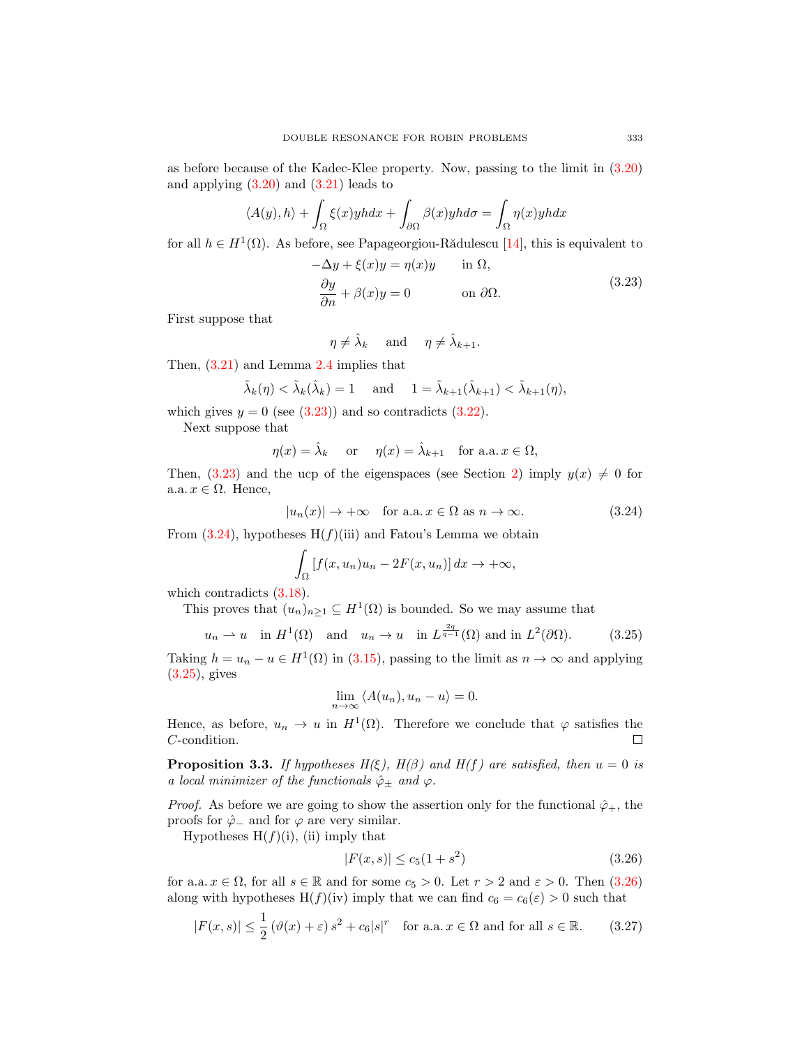as before because of the Kadec-Klee property. Now, passing to the limit in [\(3.20\)](#page-9-5) and applying  $(3.20)$  and  $(3.21)$  leads to

$$
\langle A(y), h \rangle + \int_{\Omega} \xi(x) y h dx + \int_{\partial \Omega} \beta(x) y h d\sigma = \int_{\Omega} \eta(x) y h dx
$$

for all  $h \in H^1(\Omega)$ . As before, see Papageorgiou-Rădulescu [\[14\]](#page-21-16), this is equivalent to

<span id="page-10-0"></span>
$$
-\Delta y + \xi(x)y = \eta(x)y \quad \text{in } \Omega,
$$
  

$$
\frac{\partial y}{\partial n} + \beta(x)y = 0 \quad \text{on } \partial\Omega.
$$
 (3.23)

First suppose that

$$
\eta \neq \hat{\lambda}_k
$$
 and  $\eta \neq \hat{\lambda}_{k+1}$ .

Then, [\(3.21\)](#page-9-7) and Lemma [2.4](#page-4-1) implies that

$$
\tilde{\lambda}_k(\eta) < \tilde{\lambda}_k(\hat{\lambda}_k) = 1 \quad \text{and} \quad 1 = \tilde{\lambda}_{k+1}(\hat{\lambda}_{k+1}) < \tilde{\lambda}_{k+1}(\eta),
$$

which gives  $y = 0$  (see [\(3.23\)](#page-10-0)) and so contradicts [\(3.22\)](#page-9-8).

Next suppose that

$$
\eta(x) = \hat{\lambda}_k
$$
 or  $\eta(x) = \hat{\lambda}_{k+1}$  for a.a.  $x \in \Omega$ ,

Then, [\(3.23\)](#page-10-0) and the ucp of the eigenspaces (see Section [2\)](#page-1-0) imply  $y(x) \neq 0$  for a.a.  $x \in \Omega$ . Hence,

$$
|u_n(x)| \to +\infty \quad \text{for a.a. } x \in \Omega \text{ as } n \to \infty. \tag{3.24}
$$

From  $(3.24)$ , hypotheses H $(f)(iii)$  and Fatou's Lemma we obtain

<span id="page-10-1"></span>
$$
\int_{\Omega} \left[ f(x, u_n) u_n - 2F(x, u_n) \right] dx \to +\infty,
$$

which contradicts  $(3.18)$ .

This proves that  $(u_n)_{n\geq 1} \subseteq H^1(\Omega)$  is bounded. So we may assume that

$$
u_n \rightharpoonup u
$$
 in  $H^1(\Omega)$  and  $u_n \rightharpoonup u$  in  $L^{\frac{2q}{q-1}}(\Omega)$  and in  $L^2(\partial\Omega)$ . (3.25)

Taking  $h = u_n - u \in H^1(\Omega)$  in [\(3.15\)](#page-9-1), passing to the limit as  $n \to \infty$  and applying [\(3.25\)](#page-10-2), gives

<span id="page-10-2"></span>
$$
\lim_{n \to \infty} \langle A(u_n), u_n - u \rangle = 0.
$$

Hence, as before,  $u_n \to u$  in  $H^1(\Omega)$ . Therefore we conclude that  $\varphi$  satisfies the C-condition.  $\Box$ 

<span id="page-10-5"></span>**Proposition 3.3.** If hypotheses  $H(\xi)$ ,  $H(\beta)$  and  $H(f)$  are satisfied, then  $u = 0$  is a local minimizer of the functionals  $\hat{\varphi}_{\pm}$  and  $\varphi$ .

*Proof.* As before we are going to show the assertion only for the functional  $\hat{\varphi}_+$ , the proofs for  $\hat{\varphi}$  and for  $\varphi$  are very similar.

Hypotheses  $H(f)(i)$ , (ii) imply that

<span id="page-10-4"></span><span id="page-10-3"></span>
$$
|F(x,s)| \le c_5(1+s^2)
$$
\n(3.26)

for a.a.  $x \in \Omega$ , for all  $s \in \mathbb{R}$  and for some  $c_5 > 0$ . Let  $r > 2$  and  $\varepsilon > 0$ . Then  $(3.26)$ along with hypotheses  $H(f)(iv)$  imply that we can find  $c_6 = c_6(\varepsilon) > 0$  such that

$$
|F(x,s)| \le \frac{1}{2} \left(\vartheta(x) + \varepsilon\right) s^2 + c_6 |s|^r \quad \text{for a.a.} \ x \in \Omega \text{ and for all } s \in \mathbb{R}.\tag{3.27}
$$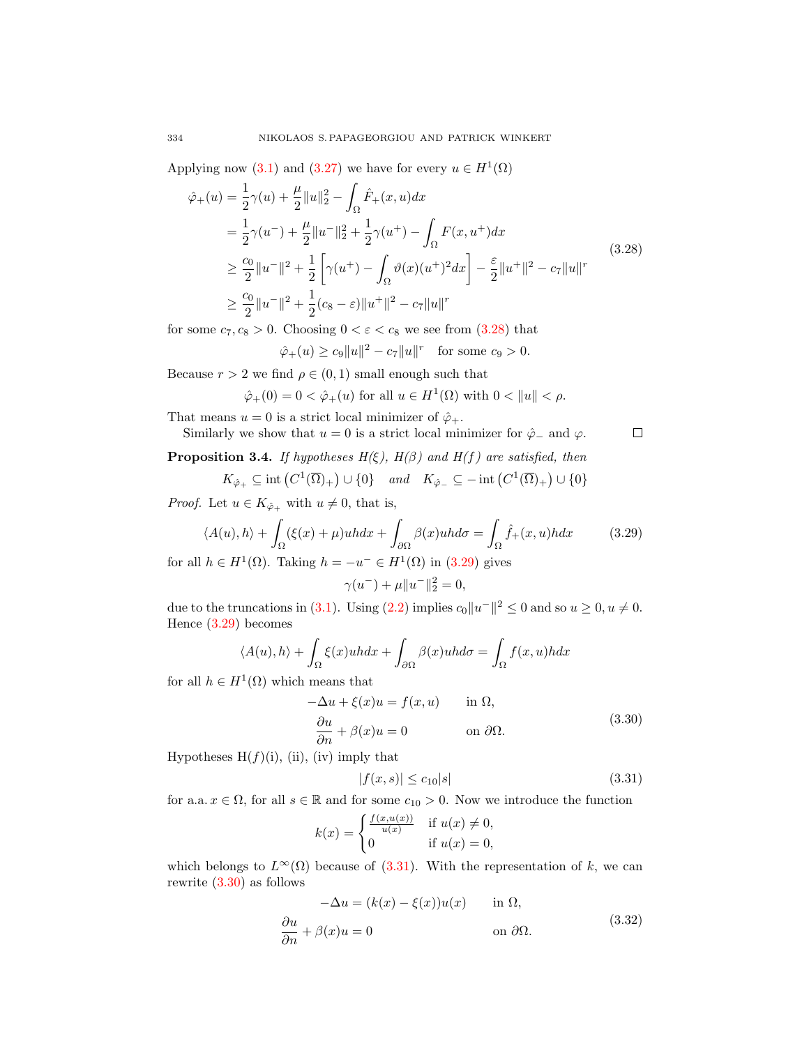Applying now [\(3.1\)](#page-6-0) and [\(3.27\)](#page-10-4) we have for every  $u \in H^1(\Omega)$ 

$$
\hat{\varphi}_{+}(u) = \frac{1}{2}\gamma(u) + \frac{\mu}{2}||u||_{2}^{2} - \int_{\Omega}\hat{F}_{+}(x, u)dx \n= \frac{1}{2}\gamma(u^{-}) + \frac{\mu}{2}||u^{-}||_{2}^{2} + \frac{1}{2}\gamma(u^{+}) - \int_{\Omega}F(x, u^{+})dx \n\geq \frac{c_{0}}{2}||u^{-}||^{2} + \frac{1}{2}\left[\gamma(u^{+}) - \int_{\Omega}\vartheta(x)(u^{+})^{2}dx\right] - \frac{\varepsilon}{2}||u^{+}||^{2} - c_{7}||u||^{r} \n\geq \frac{c_{0}}{2}||u^{-}||^{2} + \frac{1}{2}(c_{8} - \varepsilon)||u^{+}||^{2} - c_{7}||u||^{r}
$$
\n(3.28)

for some  $c_7, c_8 > 0$ . Choosing  $0 < \varepsilon < c_8$  we see from  $(3.28)$  that

$$
\hat{\varphi}_+(u) \ge c_9 ||u||^2 - c_7 ||u||^r
$$
 for some  $c_9 > 0$ .

Because  $r > 2$  we find  $\rho \in (0, 1)$  small enough such that

$$
\hat{\varphi}_+(0) = 0 < \hat{\varphi}_+(u) \text{ for all } u \in H^1(\Omega) \text{ with } 0 < \|u\| < \rho.
$$

That means  $u = 0$  is a strict local minimizer of  $\hat{\varphi}_+$ .

Similarly we show that 
$$
u = 0
$$
 is a strict local minimizer for  $\hat{\varphi}_-$  and  $\varphi$ .

<span id="page-11-5"></span>**Proposition 3.4.** If hypotheses  $H(\xi)$ ,  $H(\beta)$  and  $H(f)$  are satisfied, then

$$
K_{\hat{\varphi}_+} \subseteq \text{int}\left(C^1(\overline{\Omega})_+\right) \cup \{0\} \quad \text{and} \quad K_{\hat{\varphi}_-} \subseteq -\text{int}\left(C^1(\overline{\Omega})_+\right) \cup \{0\}
$$

*Proof.* Let  $u \in K_{\hat{\varphi}_+}$  with  $u \neq 0$ , that is,

$$
\langle A(u), h \rangle + \int_{\Omega} (\xi(x) + \mu)u h dx + \int_{\partial \Omega} \beta(x)u h d\sigma = \int_{\Omega} \hat{f}_{+}(x, u) h dx \qquad (3.29)
$$
  
the *L*U(0). Taking *h* = *L*U(0) in (2.20) gives

for all  $h \in H^1(\Omega)$ . Taking  $h = -u^- \in H^1(\Omega)$  in  $(3.29)$  gives  $\gamma(u^{-}) + \mu \|u^{-}\|_{2}^{2} = 0,$ 

due to the truncations in (3.1). Using (2.2) implies 
$$
c_0||u^-||^2 \le 0
$$
 and so  $u \ge 0, u \ne 0$ .

Hence 
$$
(3.29)
$$
 becomes

$$
\langle A(u), h \rangle + \int_{\Omega} \xi(x)u h dx + \int_{\partial \Omega} \beta(x)u h d\sigma = \int_{\Omega} f(x, u) h dx
$$

for all  $h \in H^1(\Omega)$  which means that

<span id="page-11-3"></span>
$$
-\Delta u + \xi(x)u = f(x, u) \quad \text{in } \Omega,
$$
  
\n
$$
\frac{\partial u}{\partial n} + \beta(x)u = 0 \quad \text{on } \partial\Omega.
$$
\n(3.30)

Hypotheses  $H(f)(i)$ , (ii), (iv) imply that

<span id="page-11-2"></span>
$$
|f(x,s)| \le c_{10}|s| \tag{3.31}
$$

for a.a.  $x \in \Omega$ , for all  $s \in \mathbb{R}$  and for some  $c_{10} > 0$ . Now we introduce the function

$$
k(x) = \begin{cases} \frac{f(x, u(x))}{u(x)} & \text{if } u(x) \neq 0, \\ 0 & \text{if } u(x) = 0, \end{cases}
$$

which belongs to  $L^{\infty}(\Omega)$  because of [\(3.31\)](#page-11-2). With the representation of k, we can rewrite [\(3.30\)](#page-11-3) as follows

<span id="page-11-4"></span>
$$
-\Delta u = (k(x) - \xi(x))u(x) \quad \text{in } \Omega,
$$
  
\n
$$
\frac{\partial u}{\partial n} + \beta(x)u = 0 \quad \text{on } \partial\Omega.
$$
\n(3.32)

<span id="page-11-1"></span><span id="page-11-0"></span> $\Box$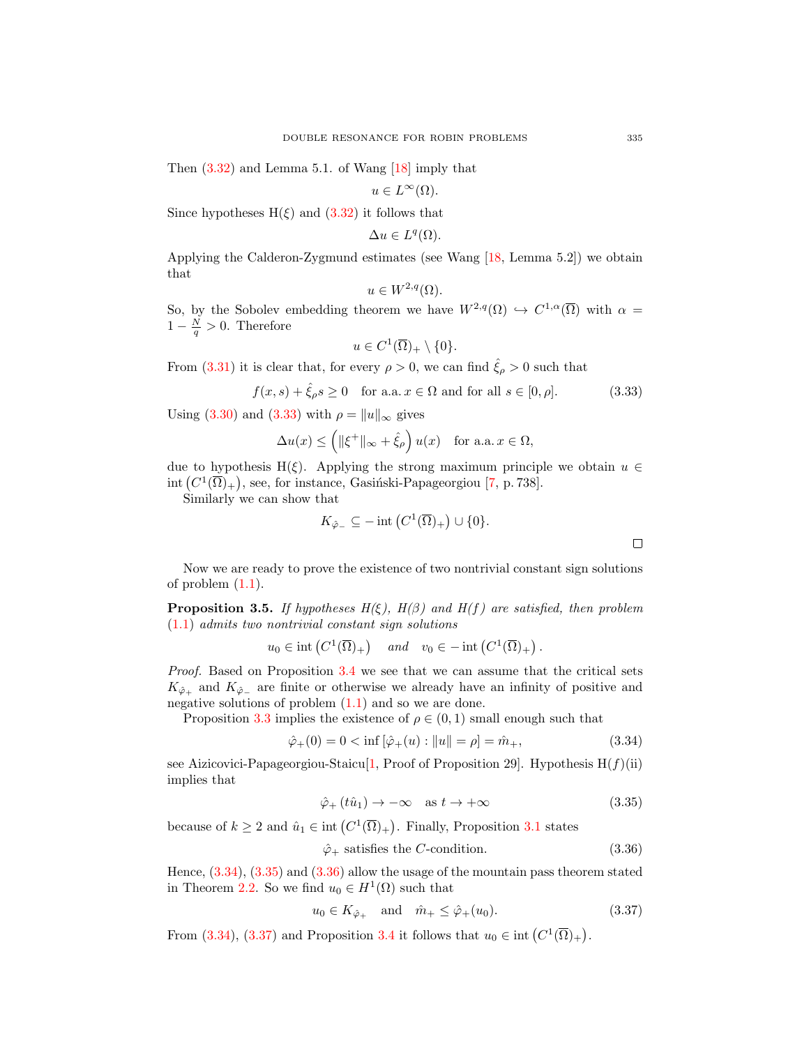Then  $(3.32)$  and Lemma 5.1. of Wang  $[18]$  imply that

$$
u \in L^{\infty}(\Omega).
$$

Since hypotheses  $H(\xi)$  and  $(3.32)$  it follows that

$$
\Delta u \in L^q(\Omega).
$$

Applying the Calderon-Zygmund estimates (see Wang [\[18,](#page-21-13) Lemma 5.2]) we obtain that

$$
u \in W^{2,q}(\Omega).
$$

So, by the Sobolev embedding theorem we have  $W^{2,q}(\Omega) \hookrightarrow C^{1,\alpha}(\overline{\Omega})$  with  $\alpha =$  $1-\frac{N}{q} > 0$ . Therefore

$$
u \in C^1(\overline{\Omega})_+ \setminus \{0\}.
$$

From [\(3.31\)](#page-11-2) it is clear that, for every  $\rho > 0$ , we can find  $\hat{\xi}_{\rho} > 0$  such that

$$
f(x,s) + \hat{\xi}_{\rho}s \ge 0 \quad \text{for a.a. } x \in \Omega \text{ and for all } s \in [0,\rho].
$$
 (3.33)

Using [\(3.30\)](#page-11-3) and [\(3.33\)](#page-12-0) with  $\rho = ||u||_{\infty}$  gives

$$
\Delta u(x) \le \left( \|\xi^+\|_{\infty} + \hat{\xi}_{\rho} \right) u(x) \quad \text{for a.a. } x \in \Omega,
$$

due to hypothesis H( $\xi$ ). Applying the strong maximum principle we obtain  $u \in$ int  $(C^1(\overline{\Omega})_+)$ , see, for instance, Gasiński-Papageorgiou [\[7,](#page-21-11) p. 738].

Similarly we can show that

$$
K_{\hat{\varphi}_-} \subseteq -\operatorname{int}\left(C^1(\overline{\Omega})_+\right) \cup \{0\}.
$$

Now we are ready to prove the existence of two nontrivial constant sign solutions of problem  $(1.1)$ .

<span id="page-12-5"></span>**Proposition 3.5.** If hypotheses  $H(\xi)$ ,  $H(\beta)$  and  $H(f)$  are satisfied, then problem [\(1.1\)](#page-0-0) admits two nontrivial constant sign solutions

$$
u_0 \in \text{int}\left(C^1(\overline{\Omega})_+\right) \quad \text{and} \quad v_0 \in -\text{int}\left(C^1(\overline{\Omega})_+\right).
$$

Proof. Based on Proposition [3.4](#page-11-5) we see that we can assume that the critical sets  $K_{\hat{\varphi}_+}$  and  $K_{\hat{\varphi}_-}$  are finite or otherwise we already have an infinity of positive and negative solutions of problem  $(1.1)$  and so we are done.

Proposition [3.3](#page-10-5) implies the existence of  $\rho \in (0,1)$  small enough such that

$$
\hat{\varphi}_+(0) = 0 < \inf \left[ \hat{\varphi}_+(u) : \|u\| = \rho \right] = \hat{m}_+, \tag{3.34}
$$

see Aizicovici-Papageorgiou-Staicu[\[1,](#page-21-15) Proof of Proposition 29]. Hypothesis  $H(f)(ii)$ implies that

<span id="page-12-3"></span>
$$
\hat{\varphi}_{+}\left(t\hat{u}_{1}\right) \to -\infty \quad \text{as } t \to +\infty \tag{3.35}
$$

because of  $k \geq 2$  and  $\hat{u}_1 \in \text{int}(C^1(\overline{\Omega})_+)$ . Finally, Proposition [3.1](#page-6-1) states

<span id="page-12-4"></span>
$$
\hat{\varphi}_+ \text{ satisfies the } C\text{-condition.} \tag{3.36}
$$

Hence, [\(3.34\)](#page-12-1), [\(3.35\)](#page-12-2) and [\(3.36\)](#page-12-3) allow the usage of the mountain pass theorem stated in Theorem [2.2.](#page-1-1) So we find  $u_0 \in H^1(\Omega)$  such that

$$
u_0 \in K_{\hat{\varphi}_+} \quad \text{and} \quad \hat{m}_+ \le \hat{\varphi}_+(u_0). \tag{3.37}
$$

From [\(3.34\)](#page-12-1), [\(3.37\)](#page-12-4) and Proposition [3.4](#page-11-5) it follows that  $u_0 \in \text{int}(C^1(\overline{\Omega})_+)$ .

<span id="page-12-2"></span><span id="page-12-1"></span><span id="page-12-0"></span> $\Box$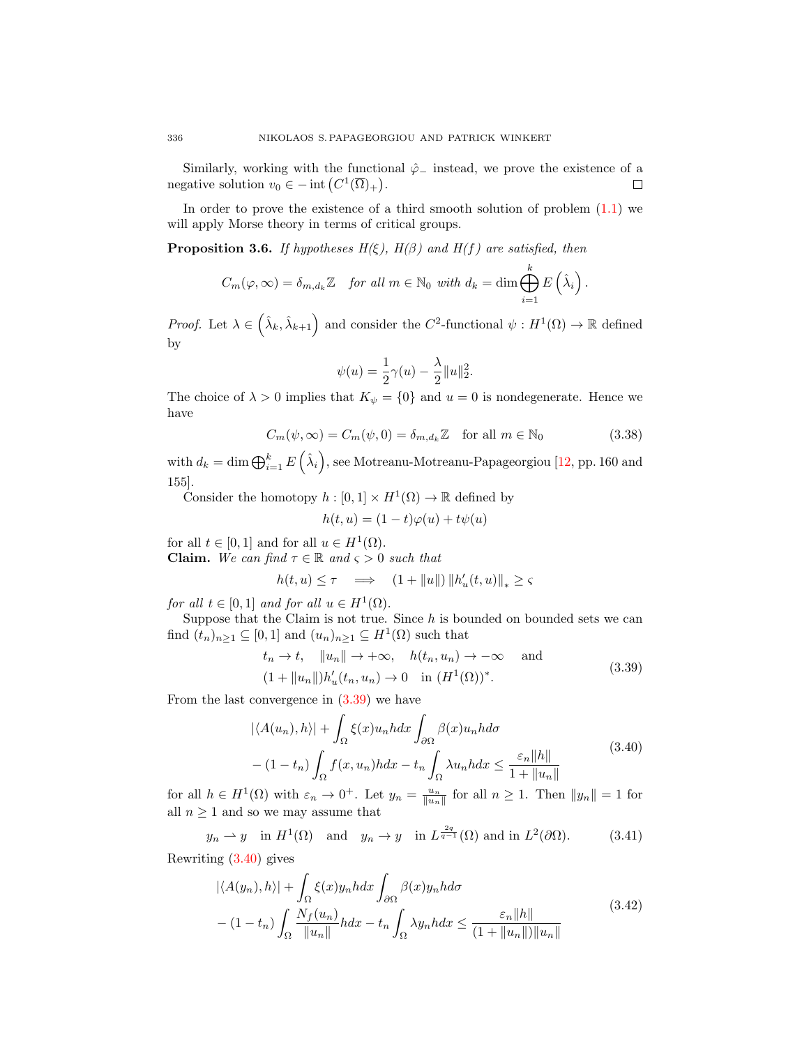Similarly, working with the functional  $\hat{\varphi}$  instead, we prove the existence of a negative solution  $v_0 \in - \text{int} (C^1(\overline{\Omega})_+).$ П

In order to prove the existence of a third smooth solution of problem  $(1.1)$  we will apply Morse theory in terms of critical groups.

<span id="page-13-5"></span>**Proposition 3.6.** If hypotheses  $H(\xi)$ ,  $H(\beta)$  and  $H(f)$  are satisfied, then

$$
C_m(\varphi,\infty) = \delta_{m,d_k} \mathbb{Z} \quad \text{for all } m \in \mathbb{N}_0 \text{ with } d_k = \dim \bigoplus_{i=1}^k E\left(\hat{\lambda}_i\right).
$$

Proof. Let  $\lambda \in (\hat{\lambda}_k, \hat{\lambda}_{k+1})$  and consider the  $C^2$ -functional  $\psi : H^1(\Omega) \to \mathbb{R}$  defined by

<span id="page-13-4"></span>
$$
\psi(u) = \frac{1}{2}\gamma(u) - \frac{\lambda}{2}||u||_2^2.
$$

The choice of  $\lambda > 0$  implies that  $K_{\psi} = \{0\}$  and  $u = 0$  is nondegenerate. Hence we have

$$
C_m(\psi, \infty) = C_m(\psi, 0) = \delta_{m, d_k} \mathbb{Z} \quad \text{for all } m \in \mathbb{N}_0
$$
 (3.38)

with  $d_k = \dim \bigoplus_{i=1}^k E(\hat{\lambda}_i)$ , see Motreanu-Motreanu-Papageorgiou [\[12,](#page-21-14) pp. 160 and 155].

Consider the homotopy  $h: [0,1] \times H^1(\Omega) \to \mathbb{R}$  defined by

<span id="page-13-0"></span>
$$
h(t, u) = (1 - t)\varphi(u) + t\psi(u)
$$

for all  $t \in [0,1]$  and for all  $u \in H^1(\Omega)$ .

**Claim.** We can find  $\tau \in \mathbb{R}$  and  $\varsigma > 0$  such that

$$
h(t, u) \le \tau \quad \Longrightarrow \quad (1 + \|u\|) \left\|h_u'(t, u)\right\|_* \ge \varsigma
$$

for all  $t \in [0,1]$  and for all  $u \in H^1(\Omega)$ .

Suppose that the Claim is not true. Since  $h$  is bounded on bounded sets we can find  $(t_n)_{n\geq 1} \subseteq [0,1]$  and  $(u_n)_{n\geq 1} \subseteq H^1(\Omega)$  such that

<span id="page-13-1"></span>
$$
t_n \to t, \quad \|u_n\| \to +\infty, \quad h(t_n, u_n) \to -\infty \quad \text{and}
$$
  

$$
(1 + \|u_n\|)h'_u(t_n, u_n) \to 0 \quad \text{in } (H^1(\Omega))^*.
$$
 (3.39)

From the last convergence in [\(3.39\)](#page-13-0) we have

<span id="page-13-3"></span>
$$
|\langle A(u_n), h \rangle| + \int_{\Omega} \xi(x) u_n h dx \int_{\partial \Omega} \beta(x) u_n h d\sigma
$$
  
– (1 – t<sub>n</sub>)  $\int_{\Omega} f(x, u_n) h dx - t_n \int_{\Omega} \lambda u_n h dx \le \frac{\varepsilon_n ||h||}{1 + ||u_n||}$  (3.40)

for all  $h \in H^1(\Omega)$  with  $\varepsilon_n \to 0^+$ . Let  $y_n = \frac{u_n}{\|u_n\|}$  for all  $n \ge 1$ . Then  $\|y_n\| = 1$  for all  $n \geq 1$  and so we may assume that

$$
y_n \rightharpoonup y
$$
 in  $H^1(\Omega)$  and  $y_n \to y$  in  $L^{\frac{2q}{q-1}}(\Omega)$  and in  $L^2(\partial\Omega)$ . (3.41)

Rewriting [\(3.40\)](#page-13-1) gives

<span id="page-13-2"></span>
$$
|\langle A(y_n), h \rangle| + \int_{\Omega} \xi(x) y_n h dx \int_{\partial \Omega} \beta(x) y_n h d\sigma
$$
  
– (1 – t<sub>n</sub>)  $\int_{\Omega} \frac{N_f(u_n)}{\|u_n\|} h dx - t_n \int_{\Omega} \lambda y_n h dx \le \frac{\varepsilon_n \|h\|}{(1 + \|u_n\|) \|u_n\|}$  (3.42)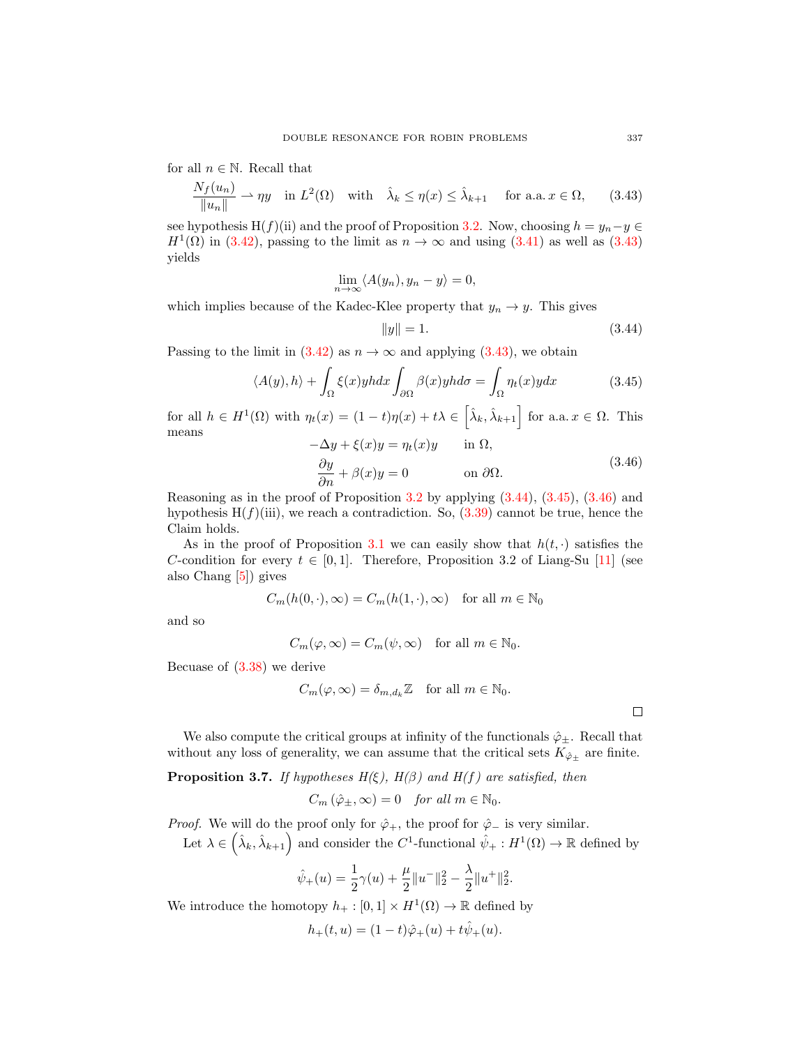for all  $n \in \mathbb{N}$ . Recall that

$$
\frac{N_f(u_n)}{\|u_n\|} \rightharpoonup \eta y \quad \text{in } L^2(\Omega) \quad \text{with} \quad \hat{\lambda}_k \le \eta(x) \le \hat{\lambda}_{k+1} \quad \text{for a.a. } x \in \Omega,\tag{3.43}
$$

see hypothesis H(f)(ii) and the proof of Proposition [3.2.](#page-8-4) Now, choosing  $h = y_n - y \in$  $H^1(\Omega)$  in [\(3.42\)](#page-13-2), passing to the limit as  $n \to \infty$  and using [\(3.41\)](#page-13-3) as well as [\(3.43\)](#page-14-0) yields

$$
\lim_{n \to \infty} \langle A(y_n), y_n - y \rangle = 0,
$$

which implies because of the Kadec-Klee property that  $y_n \to y$ . This gives

<span id="page-14-2"></span><span id="page-14-1"></span><span id="page-14-0"></span>
$$
||y|| = 1.
$$
\n(3.44)

Passing to the limit in  $(3.42)$  as  $n \to \infty$  and applying  $(3.43)$ , we obtain

$$
\langle A(y), h \rangle + \int_{\Omega} \xi(x) y h dx \int_{\partial \Omega} \beta(x) y h d\sigma = \int_{\Omega} \eta_t(x) y dx \tag{3.45}
$$

for all  $h \in H^1(\Omega)$  with  $\eta_t(x) = (1-t)\eta(x) + t\lambda \in \left[\hat{\lambda}_k, \hat{\lambda}_{k+1}\right]$  for a.a.  $x \in \Omega$ . This means  $-\Delta y + \xi(x)y = n_x(x)y$  in  $\Omega$ 

<span id="page-14-3"></span>
$$
-\Delta y + \zeta(x)y = \eta_t(x)y \quad \text{in } \Omega,
$$
  

$$
\frac{\partial y}{\partial n} + \beta(x)y = 0 \quad \text{on } \partial \Omega.
$$
 (3.46)

Reasoning as in the proof of Proposition  $3.2$  by applying  $(3.44)$ ,  $(3.45)$ ,  $(3.46)$  and hypothesis  $H(f)(iii)$ , we reach a contradiction. So,  $(3.39)$  cannot be true, hence the Claim holds.

As in the proof of Proposition [3.1](#page-6-1) we can easily show that  $h(t, \cdot)$  satisfies the C-condition for every  $t \in [0, 1]$ . Therefore, Proposition 3.2 of Liang-Su [\[11\]](#page-21-4) (see also Chang [\[5\]](#page-21-17)) gives

$$
C_m(h(0,\cdot),\infty) = C_m(h(1,\cdot),\infty) \quad \text{for all } m \in \mathbb{N}_0
$$

and so

$$
C_m(\varphi,\infty) = C_m(\psi,\infty) \quad \text{for all } m \in \mathbb{N}_0.
$$

Becuase of [\(3.38\)](#page-13-4) we derive

$$
C_m(\varphi,\infty) = \delta_{m,d_k} \mathbb{Z} \quad \text{for all } m \in \mathbb{N}_0.
$$

 $\Box$ 

We also compute the critical groups at infinity of the functionals  $\hat{\varphi}_+$ . Recall that without any loss of generality, we can assume that the critical sets  $K_{\hat{\varphi}_{\pm}}$  are finite.

<span id="page-14-4"></span>**Proposition 3.7.** If hypotheses  $H(\xi)$ ,  $H(\beta)$  and  $H(f)$  are satisfied, then

$$
C_m\left(\hat{\varphi}_\pm,\infty\right) = 0 \quad \text{for all } m \in \mathbb{N}_0.
$$

*Proof.* We will do the proof only for  $\hat{\varphi}_+$ , the proof for  $\hat{\varphi}_-$  is very similar.

Let  $\lambda \in (\hat{\lambda}_k, \hat{\lambda}_{k+1})$  and consider the C<sup>1</sup>-functional  $\hat{\psi}_+ : H^1(\Omega) \to \mathbb{R}$  defined by

$$
\hat{\psi}_+(u) = \frac{1}{2}\gamma(u) + \frac{\mu}{2}||u^-||_2^2 - \frac{\lambda}{2}||u^+||_2^2.
$$

We introduce the homotopy  $h_+ : [0,1] \times H^1(\Omega) \to \mathbb{R}$  defined by

$$
h_+(t, u) = (1-t)\hat{\varphi}_+(u) + t\hat{\psi}_+(u).
$$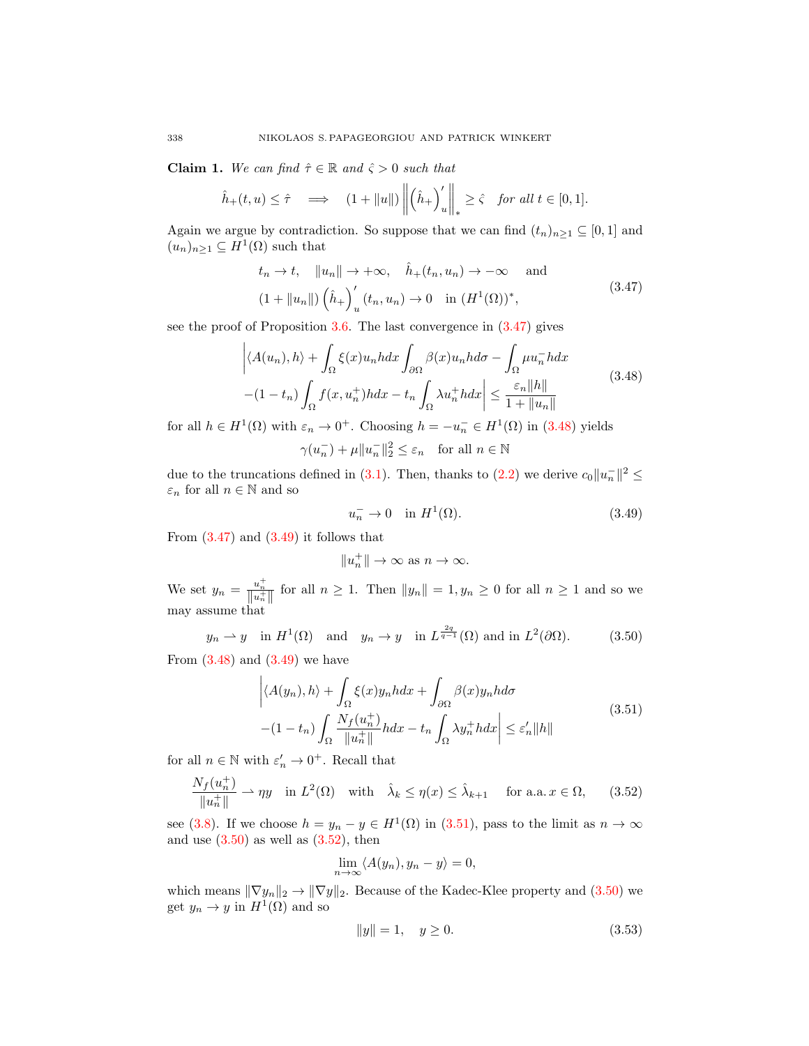**Claim 1.** We can find  $\hat{\tau} \in \mathbb{R}$  and  $\hat{\zeta} > 0$  such that

$$
\hat{h}_+(t,u) \leq \hat{\tau} \quad \Longrightarrow \quad (1+||u||) \left\| \left(\hat{h}_+\right)'_u \right\|_* \geq \hat{\varsigma} \quad \text{for all } t \in [0,1].
$$

Again we argue by contradiction. So suppose that we can find  $(t_n)_{n\geq 1} \subseteq [0,1]$  and  $(u_n)_{n\geq 1} \subseteq H^1(\Omega)$  such that

$$
t_n \to t, \quad \|u_n\| \to +\infty, \quad \hat{h}_+(t_n, u_n) \to -\infty \quad \text{and}
$$
  

$$
(1 + \|u_n\|) \left(\hat{h}_+\right)_u'(t_n, u_n) \to 0 \quad \text{in } (H^1(\Omega))^*,
$$
 (3.47)

see the proof of Proposition [3.6.](#page-13-5) The last convergence in [\(3.47\)](#page-15-0) gives

$$
\left| \langle A(u_n), h \rangle + \int_{\Omega} \xi(x) u_n h dx \int_{\partial \Omega} \beta(x) u_n h d\sigma - \int_{\Omega} \mu u_n^- h dx \right|
$$
  
-(1 - t<sub>n</sub>) 
$$
\int_{\Omega} f(x, u_n^+) h dx - t_n \int_{\Omega} \lambda u_n^+ h dx \right| \leq \frac{\varepsilon_n ||h||}{1 + ||u_n||}
$$
(3.48)

for all  $h \in H^1(\Omega)$  with  $\varepsilon_n \to 0^+$ . Choosing  $h = -u_n^- \in H^1(\Omega)$  in [\(3.48\)](#page-15-1) yields

$$
\gamma(u_n^-)+\mu\|u_n^-\|_2^2\leq\varepsilon_n\quad\text{for all }n\in\mathbb{N}
$$

due to the truncations defined in [\(3.1\)](#page-6-0). Then, thanks to [\(2.2\)](#page-3-0) we derive  $c_0||u_n||^2 \leq$  $\varepsilon_n$  for all  $n\in\mathbb{N}$  and so

<span id="page-15-2"></span><span id="page-15-1"></span><span id="page-15-0"></span>
$$
u_n^- \to 0 \quad \text{in } H^1(\Omega). \tag{3.49}
$$

From  $(3.47)$  and  $(3.49)$  it follows that

<span id="page-15-4"></span><span id="page-15-3"></span>
$$
||u_n^+|| \to \infty \text{ as } n \to \infty.
$$

We set  $y_n = \frac{u_n^+}{\|u_n^+\|}$  for all  $n \ge 1$ . Then  $\|y_n\| = 1, y_n \ge 0$  for all  $n \ge 1$  and so we may assume that

$$
y_n \rightharpoonup y
$$
 in  $H^1(\Omega)$  and  $y_n \to y$  in  $L^{\frac{2q}{q-1}}(\Omega)$  and in  $L^2(\partial\Omega)$ . (3.50)

From  $(3.48)$  and  $(3.49)$  we have

$$
\left| \langle A(y_n), h \rangle + \int_{\Omega} \xi(x) y_n h dx + \int_{\partial \Omega} \beta(x) y_n h d\sigma \right|
$$
  
-(1-t<sub>n</sub>) 
$$
\int_{\Omega} \frac{N_f(u_n^+)}{\|u_n^+\|} h dx - t_n \int_{\Omega} \lambda y_n^+ h dx \right| \le \varepsilon'_n \|h\|
$$
(3.51)

for all  $n \in \mathbb{N}$  with  $\varepsilon_n' \to 0^+$ . Recall that

$$
\frac{N_f(u_n^+)}{\|u_n^+\|} \rightharpoonup \eta y \quad \text{in } L^2(\Omega) \quad \text{with} \quad \hat{\lambda}_k \le \eta(x) \le \hat{\lambda}_{k+1} \quad \text{ for a.a. } x \in \Omega,\tag{3.52}
$$

see [\(3.8\)](#page-7-6). If we choose  $h = y_n - y \in H^1(\Omega)$  in [\(3.51\)](#page-15-3), pass to the limit as  $n \to \infty$ and use  $(3.50)$  as well as  $(3.52)$ , then

<span id="page-15-5"></span>
$$
\lim_{n \to \infty} \langle A(y_n), y_n - y \rangle = 0,
$$

which means  $\|\nabla y_n\|_2 \to \|\nabla y\|_2$ . Because of the Kadec-Klee property and [\(3.50\)](#page-15-4) we get  $y_n \to y$  in  $H^1(\Omega)$  and so

<span id="page-15-6"></span>
$$
||y|| = 1, \quad y \ge 0. \tag{3.53}
$$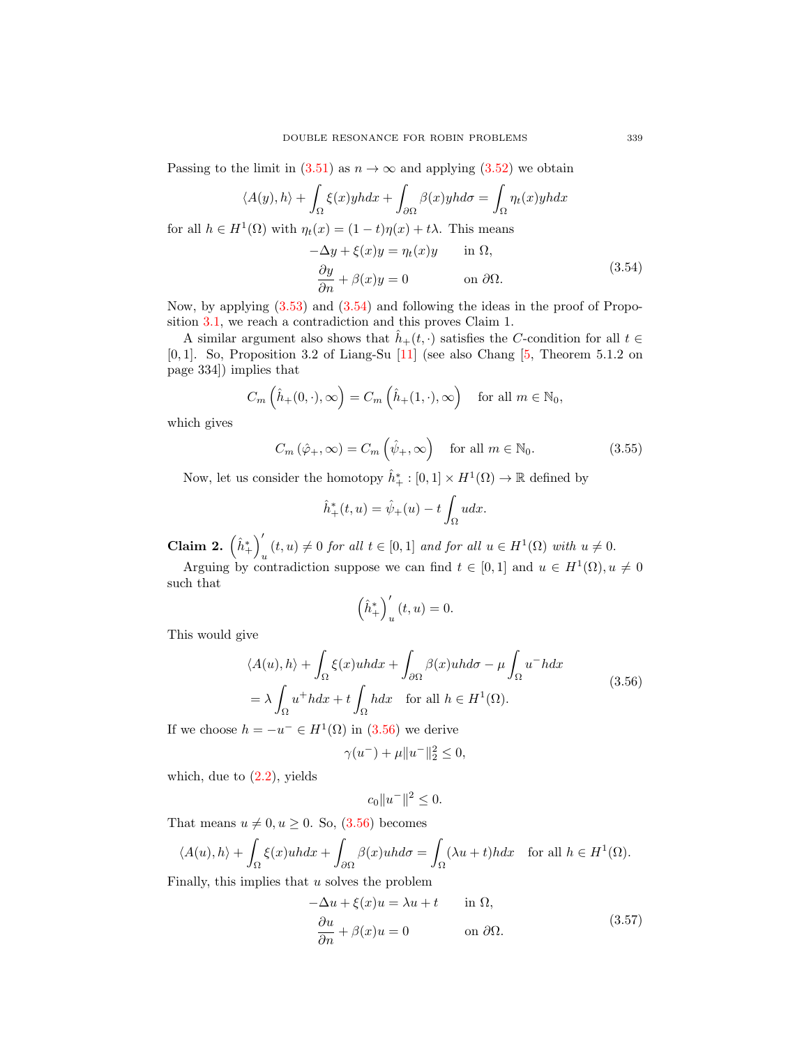Passing to the limit in  $(3.51)$  as  $n \to \infty$  and applying  $(3.52)$  we obtain

$$
\langle A(y), h \rangle + \int_{\Omega} \xi(x) y h dx + \int_{\partial \Omega} \beta(x) y h d\sigma = \int_{\Omega} \eta_t(x) y h dx
$$
  
for all  $h \in H^1(\Omega)$  with  $\eta_t(x) = (1 - t)\eta(x) + t\lambda$ . This means  

$$
-\Delta y + \xi(x) y = \eta_t(x) y \quad \text{in } \Omega,
$$

$$
\frac{\partial y}{\partial n} + \beta(x) y = 0 \quad \text{on } \partial \Omega.
$$
 (3.54)

Now, by applying [\(3.53\)](#page-15-6) and [\(3.54\)](#page-16-0) and following the ideas in the proof of Proposition [3.1,](#page-6-1) we reach a contradiction and this proves Claim 1.

A similar argument also shows that  $h_+(t, \cdot)$  satisfies the C-condition for all  $t \in$ [0, 1]. So, Proposition 3.2 of Liang-Su [\[11\]](#page-21-4) (see also Chang [\[5,](#page-21-17) Theorem 5.1.2 on page 334]) implies that

<span id="page-16-0"></span>
$$
C_m\left(\hat{h}_+(0,\cdot),\infty\right) = C_m\left(\hat{h}_+(1,\cdot),\infty\right) \quad \text{for all } m \in \mathbb{N}_0,
$$

which gives

$$
C_m\left(\hat{\varphi}_+,\infty\right) = C_m\left(\hat{\psi}_+,\infty\right) \quad \text{for all } m \in \mathbb{N}_0. \tag{3.55}
$$

Now, let us consider the homotopy  $\hat{h}_+^* : [0,1] \times H^1(\Omega) \to \mathbb{R}$  defined by

<span id="page-16-3"></span>
$$
\hat{h}^*_+(t,u) = \hat{\psi}_+(u) - t \int_{\Omega} u dx.
$$

Claim 2.  $\left(\hat{h}^*_+\right)'$  $u_t(t, u) \neq 0$  for all  $t \in [0, 1]$  and for all  $u \in H^1(\Omega)$  with  $u \neq 0$ .

Arguing by contradiction suppose we can find  $t \in [0,1]$  and  $u \in H^1(\Omega)$ ,  $u \neq 0$ such that

<span id="page-16-1"></span>
$$
\left(\hat{h}^*_+\right)'_u(t,u) = 0.
$$

This would give

$$
\langle A(u), h \rangle + \int_{\Omega} \xi(x)u h dx + \int_{\partial \Omega} \beta(x)u h d\sigma - \mu \int_{\Omega} u^{-} h dx
$$
  
=  $\lambda \int_{\Omega} u^{+} h dx + t \int_{\Omega} h dx$  for all  $h \in H^{1}(\Omega)$ . (3.56)

If we choose  $h = -u^- \in H^1(\Omega)$  in  $(3.56)$  we derive

$$
\gamma(u^{-}) + \mu \|u^{-}\|_{2}^{2} \leq 0,
$$

which, due to  $(2.2)$ , yields

$$
c_0 \|u^-\|^2 \le 0.
$$

That means  $u \neq 0, u \geq 0$ . So,  $(3.56)$  becomes

$$
\langle A(u), h \rangle + \int_{\Omega} \xi(x)u h dx + \int_{\partial \Omega} \beta(x)u h d\sigma = \int_{\Omega} (\lambda u + t) h dx \quad \text{for all } h \in H^{1}(\Omega).
$$

Finally, this implies that  $u$  solves the problem

<span id="page-16-2"></span>
$$
-\Delta u + \xi(x)u = \lambda u + t \quad \text{in } \Omega,
$$
  

$$
\frac{\partial u}{\partial n} + \beta(x)u = 0 \quad \text{on } \partial\Omega.
$$
 (3.57)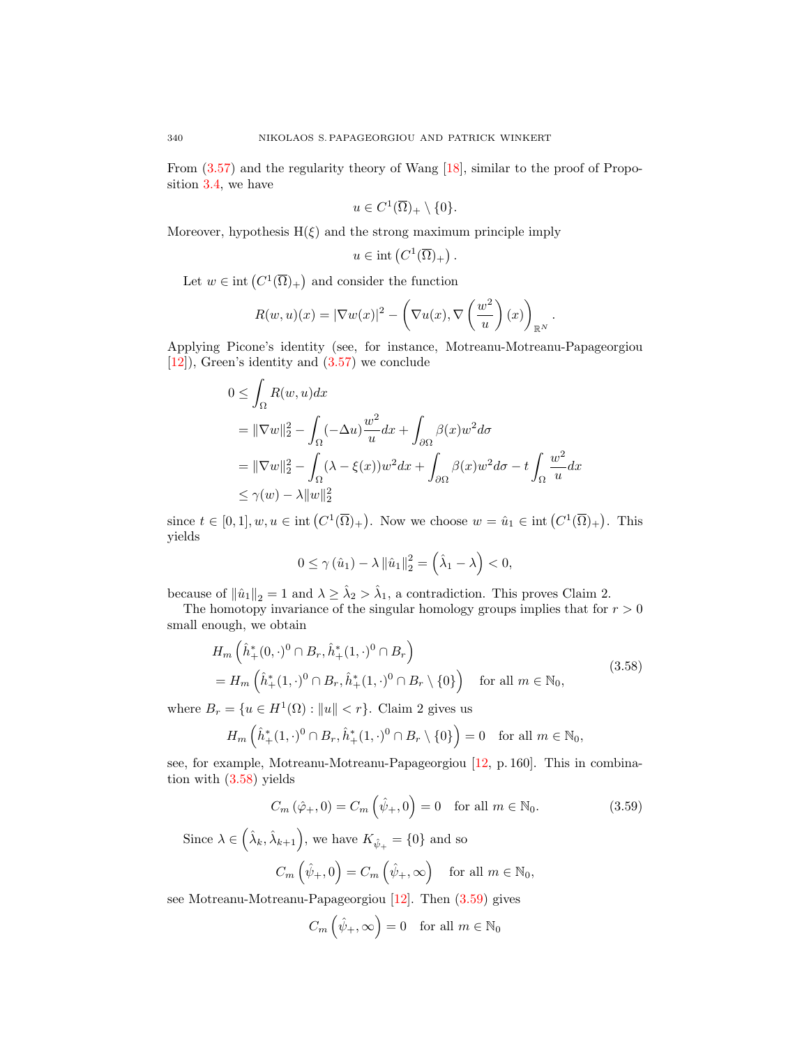From [\(3.57\)](#page-16-2) and the regularity theory of Wang [\[18\]](#page-21-13), similar to the proof of Proposition [3.4,](#page-11-5) we have

$$
u \in C^1(\overline{\Omega})_+ \setminus \{0\}.
$$

Moreover, hypothesis  $H(\xi)$  and the strong maximum principle imply

$$
u \in \text{int}\left(C^1(\overline{\Omega})_+\right).
$$

Let  $w \in \text{int}(C^1(\overline{\Omega})_+)$  and consider the function

$$
R(w, u)(x) = |\nabla w(x)|^2 - \left(\nabla u(x), \nabla \left(\frac{w^2}{u}\right)(x)\right)_{\mathbb{R}^N}.
$$

Applying Picone's identity (see, for instance, Motreanu-Motreanu-Papageorgiou [\[12\]](#page-21-14)), Green's identity and [\(3.57\)](#page-16-2) we conclude

$$
0 \leq \int_{\Omega} R(w, u) dx
$$
  
=  $\|\nabla w\|_2^2 - \int_{\Omega} (-\Delta u) \frac{w^2}{u} dx + \int_{\partial \Omega} \beta(x) w^2 d\sigma$   
=  $\|\nabla w\|_2^2 - \int_{\Omega} (\lambda - \xi(x)) w^2 dx + \int_{\partial \Omega} \beta(x) w^2 d\sigma - t \int_{\Omega} \frac{w^2}{u} dx$   
 $\leq \gamma(w) - \lambda \|w\|_2^2$ 

since  $t \in [0,1], w, u \in \text{int}(C^1(\overline{\Omega})_+)$ . Now we choose  $w = \hat{u}_1 \in \text{int}(C^1(\overline{\Omega})_+)$ . This yields

<span id="page-17-0"></span>
$$
0\leq \gamma\left(\hat{u}_{1}\right)-\lambda\left\|\hat{u}_{1}\right\|_{2}^{2}=\left(\hat{\lambda}_{1}-\lambda\right)<0,
$$

because of  $\|\hat{u}_1\|_2 = 1$  and  $\lambda \geq \hat{\lambda}_2 > \hat{\lambda}_1$ , a contradiction. This proves Claim 2.

The homotopy invariance of the singular homology groups implies that for  $r > 0$ small enough, we obtain

$$
H_m\left(\hat{h}_+^*(0,\cdot)^0 \cap B_r, \hat{h}_+^*(1,\cdot)^0 \cap B_r\right) = H_m\left(\hat{h}_+^*(1,\cdot)^0 \cap B_r, \hat{h}_+^*(1,\cdot)^0 \cap B_r \setminus \{0\}\right) \quad \text{for all } m \in \mathbb{N}_0,
$$
\n(3.58)

where  $B_r = \{u \in H^1(\Omega) : ||u|| < r\}$ . Claim 2 gives us

$$
H_m\left(\hat{h}_+^*(1,\cdot)^0\cap B_r, \hat{h}_+^*(1,\cdot)^0\cap B_r\setminus\{0\}\right)=0 \quad \text{for all } m\in\mathbb{N}_0,
$$

see, for example, Motreanu-Motreanu-Papageorgiou [\[12,](#page-21-14) p. 160]. This in combination with [\(3.58\)](#page-17-0) yields

$$
C_m\left(\hat{\varphi}_+,0\right) = C_m\left(\hat{\psi}_+,0\right) = 0 \quad \text{for all } m \in \mathbb{N}_0. \tag{3.59}
$$

Since  $\lambda \in (\hat{\lambda}_k, \hat{\lambda}_{k+1}),$  we have  $K_{\hat{\psi}_+} = \{0\}$  and so

$$
C_m\left(\hat{\psi}_+,0\right) = C_m\left(\hat{\psi}_+,\infty\right) \quad \text{for all } m \in \mathbb{N}_0,
$$

see Motreanu-Motreanu-Papageorgiou [\[12\]](#page-21-14). Then [\(3.59\)](#page-17-1) gives

<span id="page-17-1"></span>
$$
C_m\left(\hat{\psi}_+,\infty\right) = 0 \quad \text{for all } m \in \mathbb{N}_0
$$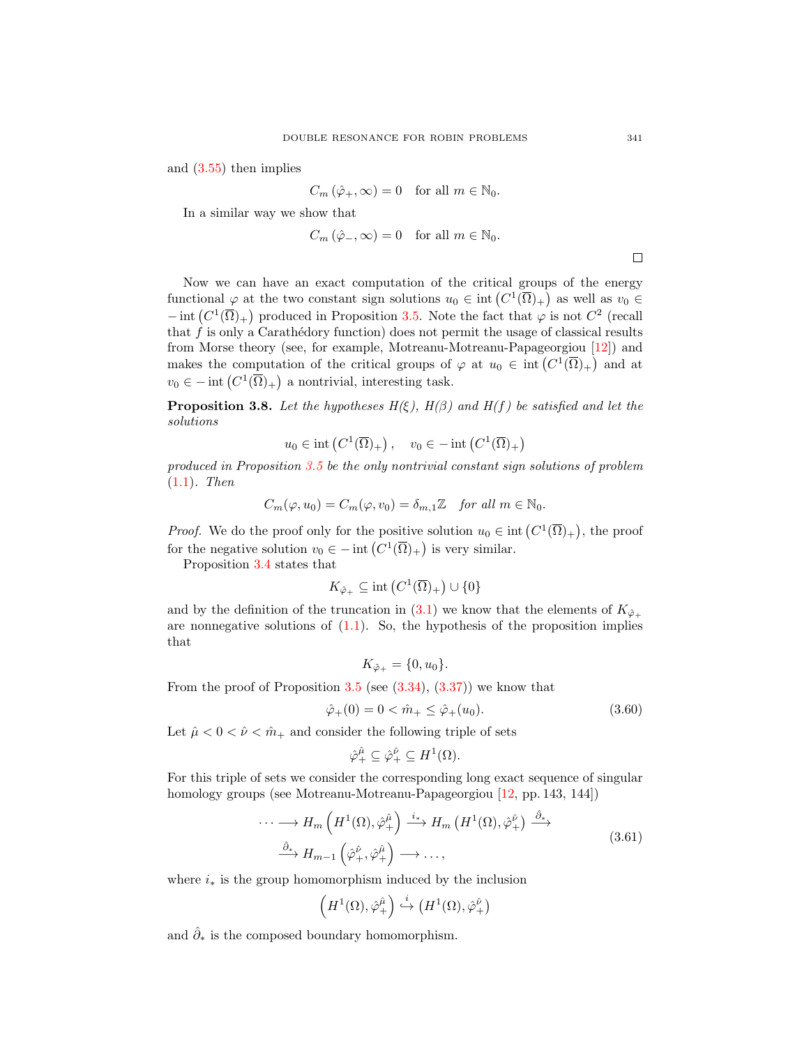and [\(3.55\)](#page-16-3) then implies

$$
C_m\left(\hat{\varphi}_+,\infty\right) = 0 \quad \text{for all } m \in \mathbb{N}_0.
$$

In a similar way we show that

$$
C_m\left(\hat{\varphi}_-,\infty\right) = 0 \quad \text{for all } m \in \mathbb{N}_0.
$$

Now we can have an exact computation of the critical groups of the energy functional  $\varphi$  at the two constant sign solutions  $u_0 \in \text{int}\left(C^1(\overline{\Omega})_+\right)$  as well as  $v_0 \in$  $-\text{int}(C^1(\overline{\Omega})_+)$  produced in Proposition [3.5.](#page-12-5) Note the fact that  $\varphi$  is not  $C^2$  (recall that  $f$  is only a Carathédory function) does not permit the usage of classical results from Morse theory (see, for example, Motreanu-Motreanu-Papageorgiou [\[12\]](#page-21-14)) and makes the computation of the critical groups of  $\varphi$  at  $u_0 \in \text{int}\left(C^1(\overline{\Omega})_+\right)$  and at  $v_0 \in -\text{int}\left(C^1(\overline{\Omega})_+\right)$  a nontrivial, interesting task.

<span id="page-18-2"></span>**Proposition 3.8.** Let the hypotheses  $H(\xi)$ ,  $H(\beta)$  and  $H(f)$  be satisfied and let the solutions

$$
u_0 \in \text{int}\left(C^1(\overline{\Omega})_+\right), \quad v_0 \in -\text{int}\left(C^1(\overline{\Omega})_+\right)
$$

produced in Proposition [3.5](#page-12-5) be the only nontrivial constant sign solutions of problem [\(1.1\)](#page-0-0). Then

$$
C_m(\varphi, u_0) = C_m(\varphi, v_0) = \delta_{m,1} \mathbb{Z} \quad \text{for all } m \in \mathbb{N}_0.
$$

*Proof.* We do the proof only for the positive solution  $u_0 \in \text{int}(C^1(\overline{\Omega})_+)$ , the proof for the negative solution  $v_0 \in - \text{int} (C^1(\overline{\Omega})_+)$  is very similar.

Proposition [3.4](#page-11-5) states that

$$
K_{\hat{\varphi}_+} \subseteq \text{int}\left(C^1(\overline{\Omega})_+\right) \cup \{0\}
$$

and by the definition of the truncation in [\(3.1\)](#page-6-0) we know that the elements of  $K_{\hat{\varphi}_+}$ are nonnegative solutions of  $(1.1)$ . So, the hypothesis of the proposition implies that

<span id="page-18-1"></span>
$$
K_{\hat{\varphi}_+} = \{0, u_0\}.
$$

From the proof of Proposition  $3.5$  (see  $(3.34)$ ,  $(3.37)$ ) we know that

$$
\hat{\varphi}_+(0) = 0 < \hat{m}_+ \le \hat{\varphi}_+(u_0). \tag{3.60}
$$

Let  $\hat{\mu} < 0 < \hat{\nu} < \hat{m}_+$  and consider the following triple of sets

<span id="page-18-0"></span>
$$
\hat{\varphi}_+^{\hat{\mu}} \subseteq \hat{\varphi}_+^{\hat{\nu}} \subseteq H^1(\Omega).
$$

For this triple of sets we consider the corresponding long exact sequence of singular homology groups (see Motreanu-Motreanu-Papageorgiou [\[12,](#page-21-14) pp. 143, 144])

$$
\cdots \longrightarrow H_m\left(H^1(\Omega), \hat{\varphi}_+^{\hat{\mu}}\right) \xrightarrow{i_*} H_m\left(H^1(\Omega), \hat{\varphi}_+^{\hat{\nu}}\right) \xrightarrow{\hat{\partial}_*} H_{m-1}\left(\hat{\varphi}_+^{\hat{\nu}}, \hat{\varphi}_+^{\hat{\mu}}\right) \longrightarrow \cdots,
$$
\n(3.61)

where  $i_*$  is the group homomorphism induced by the inclusion

$$
\left(H^1(\Omega), \hat{\varphi}^{\hat{\mu}}_{+}\right) \stackrel{i}{\hookrightarrow} \left(H^1(\Omega), \hat{\varphi}^{\hat{\nu}}_{+}\right)
$$

and  $\hat{\partial}_*$  is the composed boundary homomorphism.

 $\Box$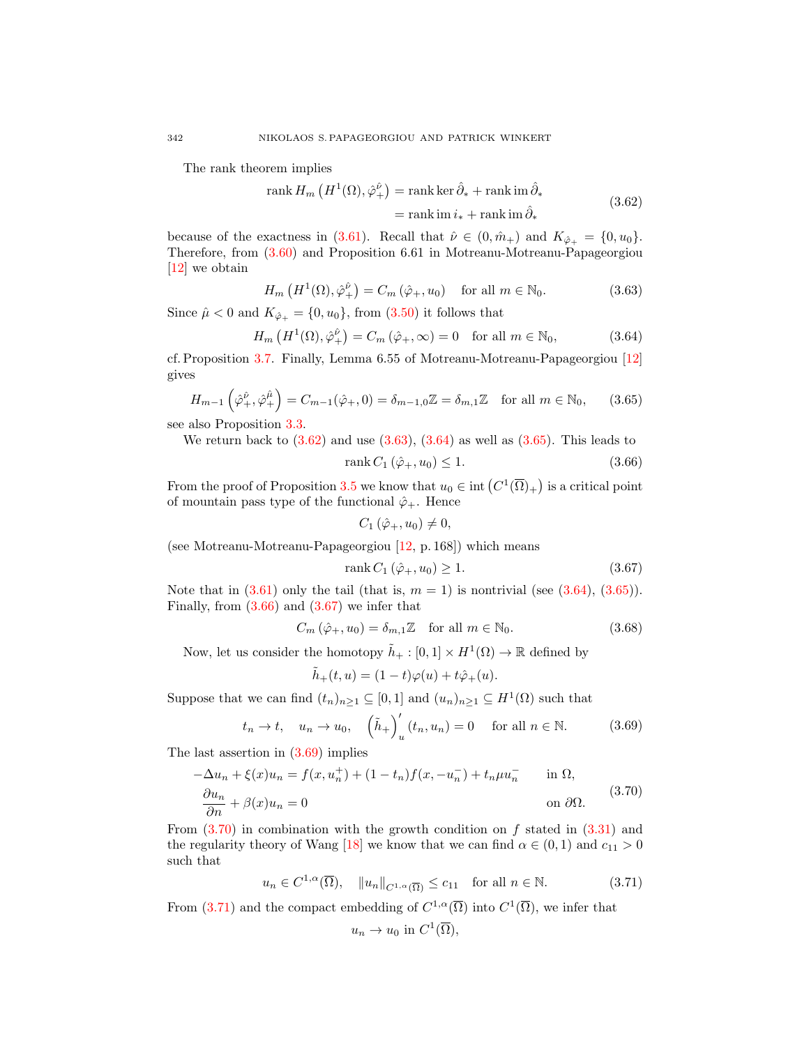The rank theorem implies

<span id="page-19-0"></span>
$$
\operatorname{rank} H_m\left(H^1(\Omega), \hat{\varphi}^{\hat{\nu}}_{+}\right) = \operatorname{rank} \ker \hat{\partial}_* + \operatorname{rank} \operatorname{im} \hat{\partial}_*
$$
  
= 
$$
\operatorname{rank} \operatorname{im} i_* + \operatorname{rank} \operatorname{im} \hat{\partial}_*
$$
(3.62)

because of the exactness in [\(3.61\)](#page-18-0). Recall that  $\hat{\nu} \in (0, \hat{m}_+)$  and  $K_{\hat{\varphi}_+} = \{0, u_0\}.$ Therefore, from [\(3.60\)](#page-18-1) and Proposition 6.61 in Motreanu-Motreanu-Papageorgiou [\[12\]](#page-21-14) we obtain

$$
H_m\left(H^1(\Omega),\hat{\varphi}_+^{\hat{\nu}}\right) = C_m\left(\hat{\varphi}_+,u_0\right) \quad \text{for all } m \in \mathbb{N}_0. \tag{3.63}
$$

Since  $\hat{\mu} < 0$  and  $K_{\hat{\varphi}_+} = \{0, u_0\}$ , from  $(3.50)$  it follows that

$$
H_m\left(H^1(\Omega), \hat{\varphi}^{\hat{\nu}}_+\right) = C_m\left(\hat{\varphi}_+, \infty\right) = 0 \quad \text{for all } m \in \mathbb{N}_0,
$$
\n(3.64)

cf. Proposition [3.7.](#page-14-4) Finally, Lemma 6.55 of Motreanu-Motreanu-Papageorgiou [\[12\]](#page-21-14) gives

$$
H_{m-1}\left(\hat{\varphi}_+^{\hat{\nu}},\hat{\varphi}_+^{\hat{\mu}}\right) = C_{m-1}(\hat{\varphi}_+,0) = \delta_{m-1,0}\mathbb{Z} = \delta_{m,1}\mathbb{Z} \quad \text{for all } m \in \mathbb{N}_0,\qquad(3.65)
$$

see also Proposition [3.3.](#page-10-5)

We return back to  $(3.62)$  and use  $(3.63)$ ,  $(3.64)$  as well as  $(3.65)$ . This leads to

<span id="page-19-3"></span><span id="page-19-2"></span><span id="page-19-1"></span>
$$
rank C_1 \left( \hat{\varphi}_+, u_0 \right) \le 1. \tag{3.66}
$$

From the proof of Proposition [3.5](#page-12-5) we know that  $u_0 \in \text{int}\left( C^1(\overline{\Omega})_+ \right)$  is a critical point of mountain pass type of the functional  $\hat{\varphi}_+$ . Hence

<span id="page-19-5"></span><span id="page-19-4"></span>
$$
C_1(\hat{\varphi}_+,u_0)\neq 0,
$$

(see Motreanu-Motreanu-Papageorgiou [\[12,](#page-21-14) p. 168]) which means

<span id="page-19-9"></span>
$$
rank C_1 \left( \hat{\varphi}_+, u_0 \right) \ge 1. \tag{3.67}
$$

Note that in  $(3.61)$  only the tail (that is,  $m = 1$ ) is nontrivial (see  $(3.64)$ ,  $(3.65)$ ). Finally, from  $(3.66)$  and  $(3.67)$  we infer that

$$
C_m\left(\hat{\varphi}_+, u_0\right) = \delta_{m,1} \mathbb{Z} \quad \text{for all } m \in \mathbb{N}_0. \tag{3.68}
$$

Now, let us consider the homotopy  $\tilde{h}_+ : [0,1] \times H^1(\Omega) \to \mathbb{R}$  defined by

<span id="page-19-6"></span>
$$
\tilde{h}_+(t,u) = (1-t)\varphi(u) + t\hat{\varphi}_+(u).
$$

Suppose that we can find  $(t_n)_{n\geq 1} \subseteq [0,1]$  and  $(u_n)_{n\geq 1} \subseteq H^1(\Omega)$  such that

$$
t_n \to t, \quad u_n \to u_0, \quad \left(\tilde{h}_+\right)_u'(t_n, u_n) = 0 \quad \text{ for all } n \in \mathbb{N}.
$$
 (3.69)

The last assertion in [\(3.69\)](#page-19-6) implies

<span id="page-19-7"></span>
$$
-\Delta u_n + \xi(x)u_n = f(x, u_n^+) + (1 - t_n)f(x, -u_n^-) + t_n\mu u_n^- \quad \text{in } \Omega,
$$
  
\n
$$
\frac{\partial u_n}{\partial n} + \beta(x)u_n = 0 \quad \text{on } \partial\Omega.
$$
\n(3.70)

From  $(3.70)$  in combination with the growth condition on f stated in  $(3.31)$  and the regularity theory of Wang [\[18\]](#page-21-13) we know that we can find  $\alpha \in (0,1)$  and  $c_{11} > 0$ such that

$$
u_n \in C^{1,\alpha}(\overline{\Omega}), \quad \|u_n\|_{C^{1,\alpha}(\overline{\Omega})} \le c_{11} \quad \text{for all } n \in \mathbb{N}.
$$
 (3.71)

From [\(3.71\)](#page-19-8) and the compact embedding of  $C^{1,\alpha}(\overline{\Omega})$  into  $C^1(\overline{\Omega})$ , we infer that

<span id="page-19-8"></span>
$$
u_n \to u_0 \text{ in } C^1(\overline{\Omega}),
$$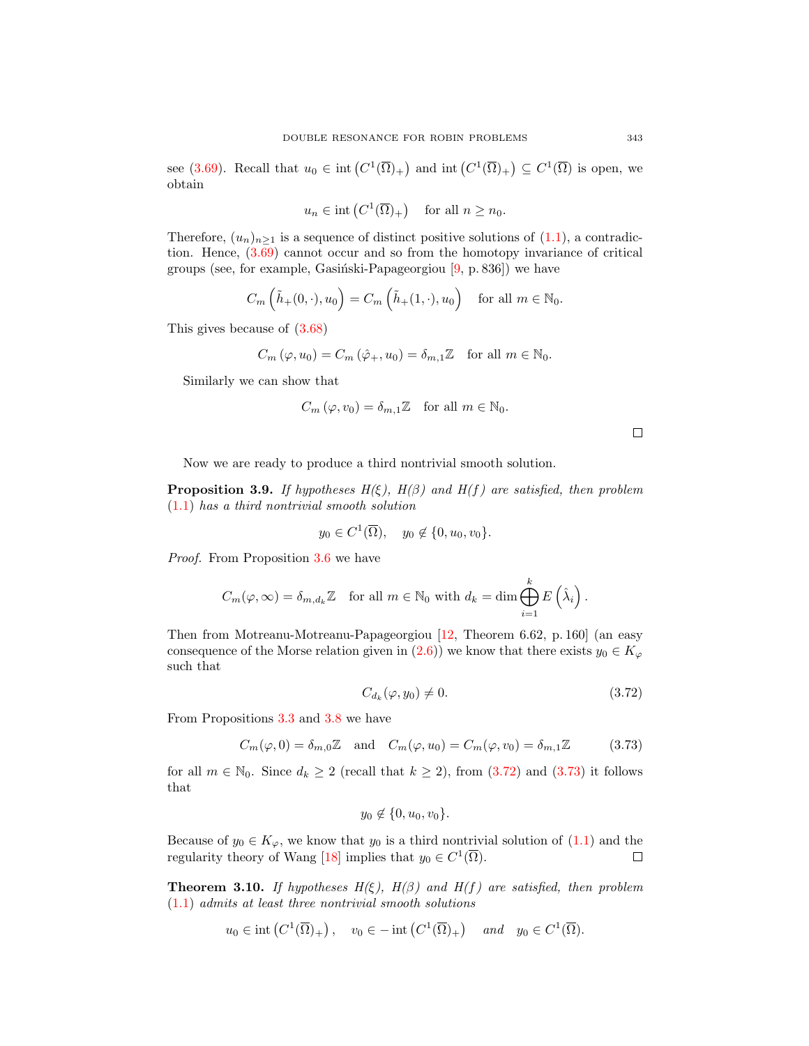see [\(3.69\)](#page-19-6). Recall that  $u_0 \in \text{int}\left(C^1(\overline{\Omega})_+\right)$  and  $\text{int}\left(C^1(\overline{\Omega})_+\right) \subseteq C^1(\overline{\Omega})$  is open, we obtain

$$
u_n \in \text{int}\left(C^1(\overline{\Omega})_+\right) \quad \text{for all } n \geq n_0.
$$

Therefore,  $(u_n)_{n\geq 1}$  is a sequence of distinct positive solutions of  $(1.1)$ , a contradiction. Hence, [\(3.69\)](#page-19-6) cannot occur and so from the homotopy invariance of critical groups (see, for example, Gasiński-Papageorgiou  $[9, p. 836]$ ) we have

$$
C_m\left(\tilde{h}_+(0,\cdot),u_0\right) = C_m\left(\tilde{h}_+(1,\cdot),u_0\right) \quad \text{for all } m \in \mathbb{N}_0.
$$

This gives because of [\(3.68\)](#page-19-9)

$$
C_m(\varphi, u_0) = C_m(\hat{\varphi}_+, u_0) = \delta_{m,1} \mathbb{Z} \quad \text{for all } m \in \mathbb{N}_0.
$$

Similarly we can show that

$$
C_m(\varphi, v_0) = \delta_{m,1} \mathbb{Z} \quad \text{for all } m \in \mathbb{N}_0.
$$

 $\Box$ 

Now we are ready to produce a third nontrivial smooth solution.

**Proposition 3.9.** If hypotheses  $H(\xi)$ ,  $H(\beta)$  and  $H(f)$  are satisfied, then problem  $(1.1)$  has a third nontrivial smooth solution

$$
y_0 \in C^1(\overline{\Omega}), \quad y_0 \notin \{0, u_0, v_0\}.
$$

Proof. From Proposition [3.6](#page-13-5) we have

$$
C_m(\varphi,\infty) = \delta_{m,d_k} \mathbb{Z} \quad \text{for all } m \in \mathbb{N}_0 \text{ with } d_k = \dim \bigoplus_{i=1}^k E\left(\hat{\lambda}_i\right).
$$

Then from Motreanu-Motreanu-Papageorgiou [\[12,](#page-21-14) Theorem 6.62, p. 160] (an easy consequence of the Morse relation given in [\(2.6\)](#page-5-1)) we know that there exists  $y_0 \in K_\varphi$ such that

<span id="page-20-1"></span><span id="page-20-0"></span>
$$
C_{d_k}(\varphi, y_0) \neq 0. \tag{3.72}
$$

From Propositions [3.3](#page-10-5) and [3.8](#page-18-2) we have

1

$$
C_m(\varphi, 0) = \delta_{m,0}\mathbb{Z} \quad \text{and} \quad C_m(\varphi, u_0) = C_m(\varphi, v_0) = \delta_{m,1}\mathbb{Z} \tag{3.73}
$$

for all  $m \in \mathbb{N}_0$ . Since  $d_k \geq 2$  (recall that  $k \geq 2$ ), from [\(3.72\)](#page-20-0) and [\(3.73\)](#page-20-1) it follows that

$$
y_0 \notin \{0, u_0, v_0\}.
$$

Because of  $y_0 \in K_{\varphi}$ , we know that  $y_0$  is a third nontrivial solution of  $(1.1)$  and the regularity theory of Wang [\[18\]](#page-21-13) implies that  $y_0 \in C^1(\overline{\Omega})$ .  $\Box$ 

**Theorem 3.10.** If hypotheses  $H(\xi)$ ,  $H(\beta)$  and  $H(f)$  are satisfied, then problem [\(1.1\)](#page-0-0) admits at least three nontrivial smooth solutions

$$
u_0 \in \text{int}\left(C^1(\overline{\Omega})_+\right), \quad v_0 \in -\text{int}\left(C^1(\overline{\Omega})_+\right) \quad \text{and} \quad y_0 \in C^1(\overline{\Omega}).
$$